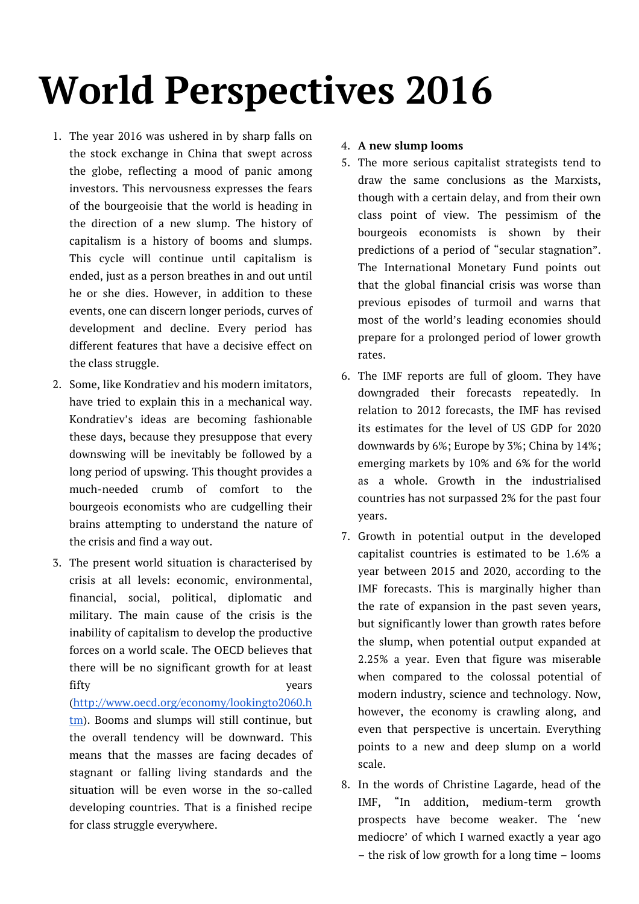# **World Perspectives 2016**

- 1. The year 2016 was ushered in by sharp falls on the stock exchange in China that swept across the globe, reflecting a mood of panic among investors. This nervousness expresses the fears of the bourgeoisie that the world is heading in the direction of a new slump. The history of capitalism is a history of booms and slumps. This cycle will continue until capitalism is ended, just as a person breathes in and out until he or she dies. However, in addition to these events, one can discern longer periods, curves of development and decline. Every period has different features that have a decisive effect on the class struggle.
- 2. Some, like Kondratiev and his modern imitators, have tried to explain this in a mechanical way. Kondratiev's ideas are becoming fashionable these days, because they presuppose that every downswing will be inevitably be followed by a long period of upswing. This thought provides a much-needed crumb of comfort to the bourgeois economists who are cudgelling their brains attempting to understand the nature of the crisis and find a way out.
- 3. The present world situation is characterised by crisis at all levels: economic, environmental, financial, social, political, diplomatic and military. The main cause of the crisis is the inability of capitalism to develop the productive forces on a world scale. The OECD believes that there will be no significant growth for at least fifty vears (http://www.oecd.org/economy/lookingto2060.h tm). Booms and slumps will still continue, but the overall tendency will be downward. This means that the masses are facing decades of stagnant or falling living standards and the situation will be even worse in the so-called developing countries. That is a finished recipe for class struggle everywhere.

## 4. **A new slump looms**

- 5. The more serious capitalist strategists tend to draw the same conclusions as the Marxists, though with a certain delay, and from their own class point of view. The pessimism of the bourgeois economists is shown by their predictions of a period of "secular stagnation". The International Monetary Fund points out that the global financial crisis was worse than previous episodes of turmoil and warns that most of the world's leading economies should prepare for a prolonged period of lower growth rates.
- 6. The IMF reports are full of gloom. They have downgraded their forecasts repeatedly. In relation to 2012 forecasts, the IMF has revised its estimates for the level of US GDP for 2020 downwards by 6%; Europe by 3%; China by 14%; emerging markets by 10% and 6% for the world as a whole. Growth in the industrialised countries has not surpassed 2% for the past four years.
- 7. Growth in potential output in the developed capitalist countries is estimated to be 1.6% a year between 2015 and 2020, according to the IMF forecasts. This is marginally higher than the rate of expansion in the past seven years, but significantly lower than growth rates before the slump, when potential output expanded at 2.25% a year. Even that figure was miserable when compared to the colossal potential of modern industry, science and technology. Now, however, the economy is crawling along, and even that perspective is uncertain. Everything points to a new and deep slump on a world scale.
- 8. In the words of Christine Lagarde, head of the IMF, "In addition, medium-term growth prospects have become weaker. The 'new mediocre' of which I warned exactly a year ago – the risk of low growth for a long time – looms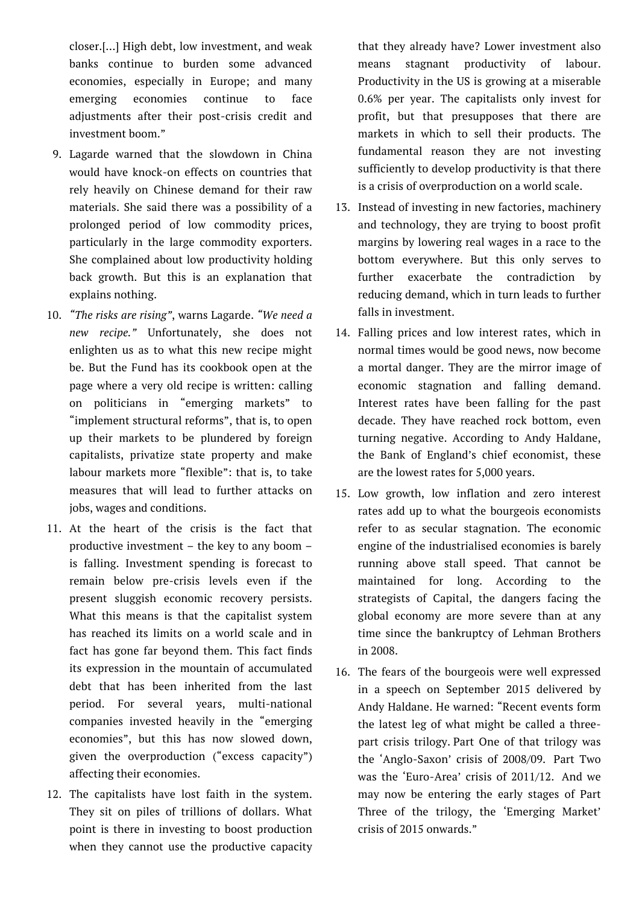closer.[…] High debt, low investment, and weak banks continue to burden some advanced economies, especially in Europe; and many emerging economies continue to face adjustments after their post-crisis credit and investment boom."

- 9. Lagarde warned that the slowdown in China would have knock-on effects on countries that rely heavily on Chinese demand for their raw materials. She said there was a possibility of a prolonged period of low commodity prices, particularly in the large commodity exporters. She complained about low productivity holding back growth. But this is an explanation that explains nothing.
- 10. *"The risks are rising"*, warns Lagarde. *"We need a new recipe."* Unfortunately, she does not enlighten us as to what this new recipe might be. But the Fund has its cookbook open at the page where a very old recipe is written: calling on politicians in "emerging markets" to "implement structural reforms", that is, to open up their markets to be plundered by foreign capitalists, privatize state property and make labour markets more "flexible": that is, to take measures that will lead to further attacks on jobs, wages and conditions.
- 11. At the heart of the crisis is the fact that productive investment – the key to any boom – is falling. Investment spending is forecast to remain below pre-crisis levels even if the present sluggish economic recovery persists. What this means is that the capitalist system has reached its limits on a world scale and in fact has gone far beyond them. This fact finds its expression in the mountain of accumulated debt that has been inherited from the last period. For several years, multi-national companies invested heavily in the "emerging economies", but this has now slowed down, given the overproduction ("excess capacity") affecting their economies.
- 12. The capitalists have lost faith in the system. They sit on piles of trillions of dollars. What point is there in investing to boost production when they cannot use the productive capacity

that they already have? Lower investment also means stagnant productivity of labour. Productivity in the US is growing at a miserable 0.6% per year. The capitalists only invest for profit, but that presupposes that there are markets in which to sell their products. The fundamental reason they are not investing sufficiently to develop productivity is that there is a crisis of overproduction on a world scale.

- 13. Instead of investing in new factories, machinery and technology, they are trying to boost profit margins by lowering real wages in a race to the bottom everywhere. But this only serves to further exacerbate the contradiction by reducing demand, which in turn leads to further falls in investment.
- 14. Falling prices and low interest rates, which in normal times would be good news, now become a mortal danger. They are the mirror image of economic stagnation and falling demand. Interest rates have been falling for the past decade. They have reached rock bottom, even turning negative. According to Andy Haldane, the Bank of England's chief economist, these are the lowest rates for 5,000 years.
- 15. Low growth, low inflation and zero interest rates add up to what the bourgeois economists refer to as secular stagnation. The economic engine of the industrialised economies is barely running above stall speed. That cannot be maintained for long. According to the strategists of Capital, the dangers facing the global economy are more severe than at any time since the bankruptcy of Lehman Brothers in 2008.
- 16. The fears of the bourgeois were well expressed in a speech on September 2015 delivered by Andy Haldane. He warned: "Recent events form the latest leg of what might be called a threepart crisis trilogy. Part One of that trilogy was the 'Anglo-Saxon' crisis of 2008/09. Part Two was the 'Euro-Area' crisis of 2011/12. And we may now be entering the early stages of Part Three of the trilogy, the 'Emerging Market' crisis of 2015 onwards."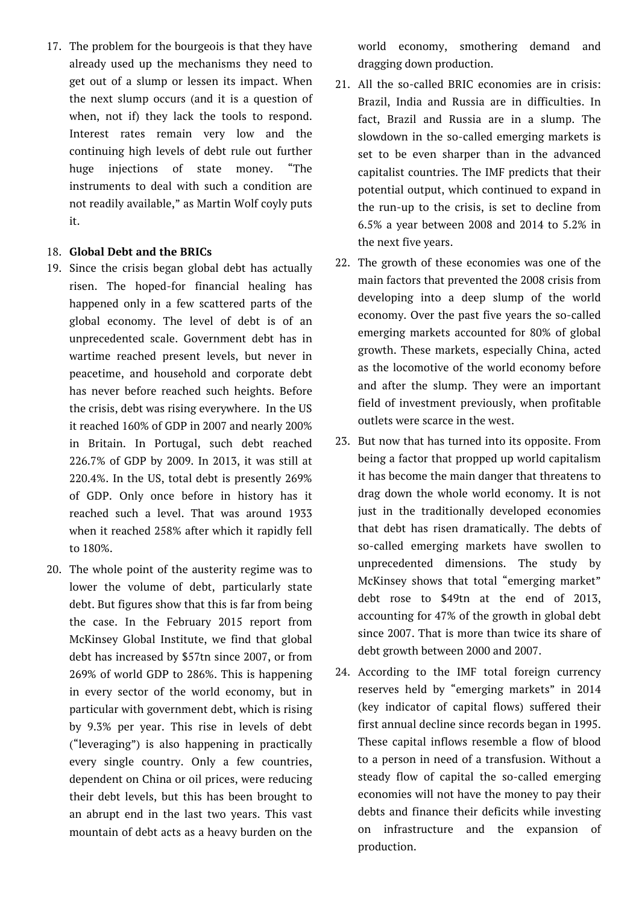17. The problem for the bourgeois is that they have already used up the mechanisms they need to get out of a slump or lessen its impact. When the next slump occurs (and it is a question of when, not if) they lack the tools to respond. Interest rates remain very low and the continuing high levels of debt rule out further huge injections of state money. "The instruments to deal with such a condition are not readily available," as Martin Wolf coyly puts it.

### 18. **Global Debt and the BRICs**

- 19. Since the crisis began global debt has actually risen. The hoped-for financial healing has happened only in a few scattered parts of the global economy. The level of debt is of an unprecedented scale. Government debt has in wartime reached present levels, but never in peacetime, and household and corporate debt has never before reached such heights. Before the crisis, debt was rising everywhere. In the US it reached 160% of GDP in 2007 and nearly 200% in Britain. In Portugal, such debt reached 226.7% of GDP by 2009. In 2013, it was still at 220.4%. In the US, total debt is presently 269% of GDP. Only once before in history has it reached such a level. That was around 1933 when it reached 258% after which it rapidly fell to 180%.
- 20. The whole point of the austerity regime was to lower the volume of debt, particularly state debt. But figures show that this is far from being the case. In the February 2015 report from McKinsey Global Institute, we find that global debt has increased by \$57tn since 2007, or from 269% of world GDP to 286%. This is happening in every sector of the world economy, but in particular with government debt, which is rising by 9.3% per year. This rise in levels of debt ("leveraging") is also happening in practically every single country. Only a few countries, dependent on China or oil prices, were reducing their debt levels, but this has been brought to an abrupt end in the last two years. This vast mountain of debt acts as a heavy burden on the

world economy, smothering demand and dragging down production.

- 21. All the so-called BRIC economies are in crisis: Brazil, India and Russia are in difficulties. In fact, Brazil and Russia are in a slump. The slowdown in the so-called emerging markets is set to be even sharper than in the advanced capitalist countries. The IMF predicts that their potential output, which continued to expand in the run-up to the crisis, is set to decline from 6.5% a year between 2008 and 2014 to 5.2% in the next five years.
- 22. The growth of these economies was one of the main factors that prevented the 2008 crisis from developing into a deep slump of the world economy. Over the past five years the so-called emerging markets accounted for 80% of global growth. These markets, especially China, acted as the locomotive of the world economy before and after the slump. They were an important field of investment previously, when profitable outlets were scarce in the west.
- 23. But now that has turned into its opposite. From being a factor that propped up world capitalism it has become the main danger that threatens to drag down the whole world economy. It is not just in the traditionally developed economies that debt has risen dramatically. The debts of so-called emerging markets have swollen to unprecedented dimensions. The study by McKinsey shows that total "emerging market" debt rose to \$49tn at the end of 2013, accounting for 47% of the growth in global debt since 2007. That is more than twice its share of debt growth between 2000 and 2007.
- 24. According to the IMF total foreign currency reserves held by "emerging markets" in 2014 (key indicator of capital flows) suffered their first annual decline since records began in 1995. These capital inflows resemble a flow of blood to a person in need of a transfusion. Without a steady flow of capital the so-called emerging economies will not have the money to pay their debts and finance their deficits while investing on infrastructure and the expansion of production.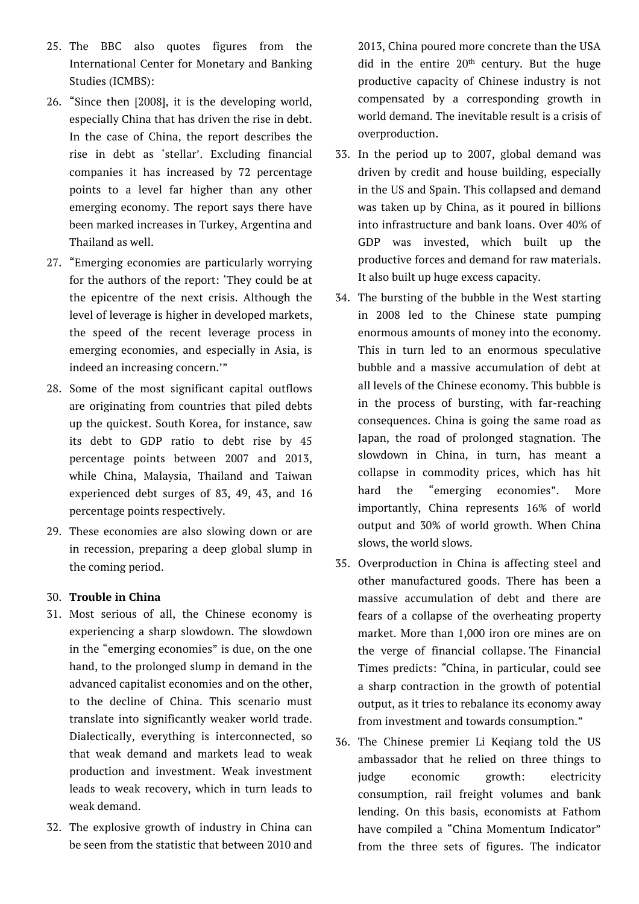- 25. The BBC also quotes figures from the International Center for Monetary and Banking Studies (ICMBS):
- 26. "Since then [2008], it is the developing world, especially China that has driven the rise in debt. In the case of China, the report describes the rise in debt as 'stellar'. Excluding financial companies it has increased by 72 percentage points to a level far higher than any other emerging economy. The report says there have been marked increases in Turkey, Argentina and Thailand as well.
- 27. "Emerging economies are particularly worrying for the authors of the report: 'They could be at the epicentre of the next crisis. Although the level of leverage is higher in developed markets, the speed of the recent leverage process in emerging economies, and especially in Asia, is indeed an increasing concern.'"
- 28. Some of the most significant capital outflows are originating from countries that piled debts up the quickest. South Korea, for instance, saw its debt to GDP ratio to debt rise by 45 percentage points between 2007 and 2013, while China, Malaysia, Thailand and Taiwan experienced debt surges of 83, 49, 43, and 16 percentage points respectively.
- 29. These economies are also slowing down or are in recession, preparing a deep global slump in the coming period.

# 30. **Trouble in China**

- 31. Most serious of all, the Chinese economy is experiencing a sharp slowdown. The slowdown in the "emerging economies" is due, on the one hand, to the prolonged slump in demand in the advanced capitalist economies and on the other, to the decline of China. This scenario must translate into significantly weaker world trade. Dialectically, everything is interconnected, so that weak demand and markets lead to weak production and investment. Weak investment leads to weak recovery, which in turn leads to weak demand.
- 32. The explosive growth of industry in China can be seen from the statistic that between 2010 and

2013, China poured more concrete than the USA did in the entire  $20<sup>th</sup>$  century. But the huge productive capacity of Chinese industry is not compensated by a corresponding growth in world demand. The inevitable result is a crisis of overproduction.

- 33. In the period up to 2007, global demand was driven by credit and house building, especially in the US and Spain. This collapsed and demand was taken up by China, as it poured in billions into infrastructure and bank loans. Over 40% of GDP was invested, which built up the productive forces and demand for raw materials. It also built up huge excess capacity.
- 34. The bursting of the bubble in the West starting in 2008 led to the Chinese state pumping enormous amounts of money into the economy. This in turn led to an enormous speculative bubble and a massive accumulation of debt at all levels of the Chinese economy. This bubble is in the process of bursting, with far-reaching consequences. China is going the same road as Japan, the road of prolonged stagnation. The slowdown in China, in turn, has meant a collapse in commodity prices, which has hit hard the "emerging economies". More importantly, China represents 16% of world output and 30% of world growth. When China slows, the world slows.
- 35. Overproduction in China is affecting steel and other manufactured goods. There has been a massive accumulation of debt and there are fears of a collapse of the overheating property market. More than 1,000 iron ore mines are on the verge of financial collapse. The Financial Times predicts: *"*China, in particular, could see a sharp contraction in the growth of potential output, as it tries to rebalance its economy away from investment and towards consumption."
- 36. The Chinese premier Li Keqiang told the US ambassador that he relied on three things to judge economic growth: electricity consumption, rail freight volumes and bank lending. On this basis, economists at Fathom have compiled a "China Momentum Indicator" from the three sets of figures. The indicator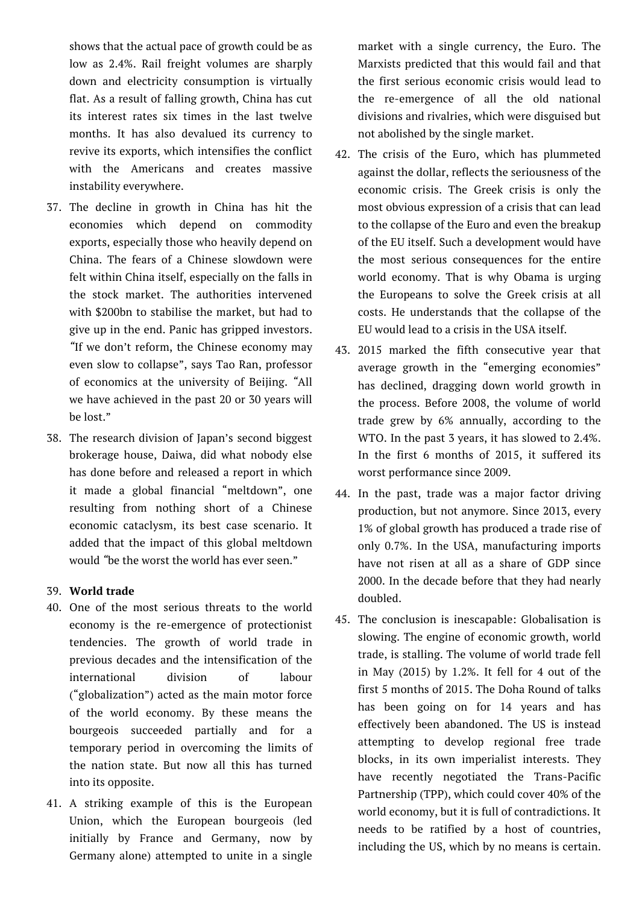shows that the actual pace of growth could be as low as 2.4%. Rail freight volumes are sharply down and electricity consumption is virtually flat. As a result of falling growth, China has cut its interest rates six times in the last twelve months. It has also devalued its currency to revive its exports, which intensifies the conflict with the Americans and creates massive instability everywhere.

- 37. The decline in growth in China has hit the economies which depend on commodity exports, especially those who heavily depend on China. The fears of a Chinese slowdown were felt within China itself, especially on the falls in the stock market. The authorities intervened with \$200bn to stabilise the market, but had to give up in the end. Panic has gripped investors. *"*If we don't reform, the Chinese economy may even slow to collapse", says Tao Ran, professor of economics at the university of Beijing. *"*All we have achieved in the past 20 or 30 years will be lost."
- 38. The research division of Japan's second biggest brokerage house, Daiwa, did what nobody else has done before and released a report in which it made a global financial "meltdown", one resulting from nothing short of a Chinese economic cataclysm, its best case scenario. It added that the impact of this global meltdown would *"*be the worst the world has ever seen."

## 39. **World trade**

- 40. One of the most serious threats to the world economy is the re-emergence of protectionist tendencies. The growth of world trade in previous decades and the intensification of the international division of labour ("globalization") acted as the main motor force of the world economy. By these means the bourgeois succeeded partially and for a temporary period in overcoming the limits of the nation state. But now all this has turned into its opposite.
- 41. A striking example of this is the European Union, which the European bourgeois (led initially by France and Germany, now by Germany alone) attempted to unite in a single

market with a single currency, the Euro. The Marxists predicted that this would fail and that the first serious economic crisis would lead to the re-emergence of all the old national divisions and rivalries, which were disguised but not abolished by the single market.

- 42. The crisis of the Euro, which has plummeted against the dollar, reflects the seriousness of the economic crisis. The Greek crisis is only the most obvious expression of a crisis that can lead to the collapse of the Euro and even the breakup of the EU itself. Such a development would have the most serious consequences for the entire world economy. That is why Obama is urging the Europeans to solve the Greek crisis at all costs. He understands that the collapse of the EU would lead to a crisis in the USA itself.
- 43. 2015 marked the fifth consecutive year that average growth in the "emerging economies" has declined, dragging down world growth in the process. Before 2008, the volume of world trade grew by 6% annually, according to the WTO. In the past 3 years, it has slowed to 2.4%. In the first 6 months of 2015, it suffered its worst performance since 2009.
- 44. In the past, trade was a major factor driving production, but not anymore. Since 2013, every 1% of global growth has produced a trade rise of only 0.7%. In the USA, manufacturing imports have not risen at all as a share of GDP since 2000. In the decade before that they had nearly doubled.
- 45. The conclusion is inescapable: Globalisation is slowing. The engine of economic growth, world trade, is stalling. The volume of world trade fell in May (2015) by 1.2%. It fell for 4 out of the first 5 months of 2015. The Doha Round of talks has been going on for 14 years and has effectively been abandoned. The US is instead attempting to develop regional free trade blocks, in its own imperialist interests. They have recently negotiated the Trans-Pacific Partnership (TPP), which could cover 40% of the world economy, but it is full of contradictions. It needs to be ratified by a host of countries, including the US, which by no means is certain.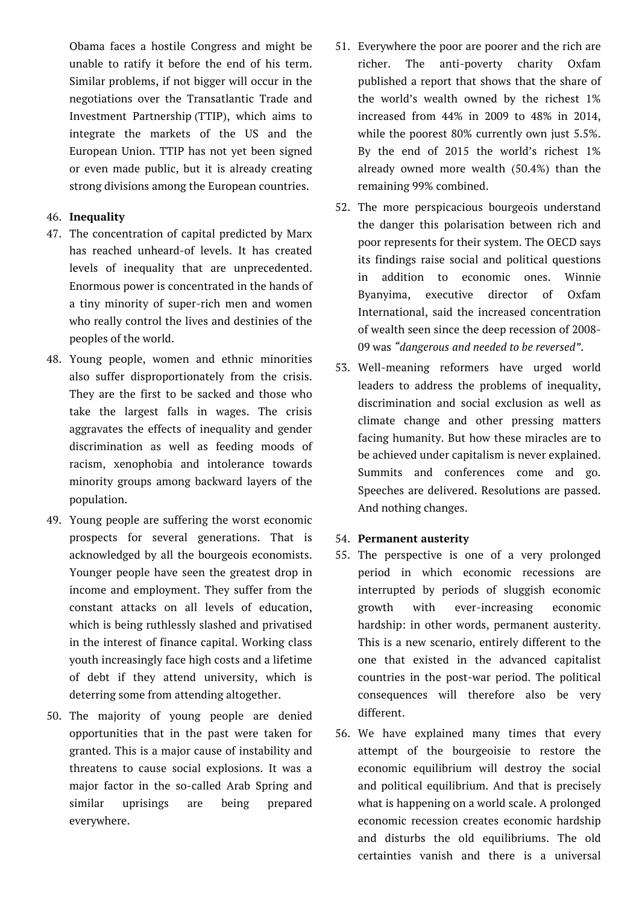Obama faces a hostile Congress and might be unable to ratify it before the end of his term. Similar problems, if not bigger will occur in the negotiations over the Transatlantic Trade and Investment Partnership (TTIP), which aims to integrate the markets of the US and the European Union. TTIP has not yet been signed or even made public, but it is already creating strong divisions among the European countries.

## 46. **Inequality**

- 47. The concentration of capital predicted by Marx has reached unheard-of levels. It has created levels of inequality that are unprecedented. Enormous power is concentrated in the hands of a tiny minority of super-rich men and women who really control the lives and destinies of the peoples of the world.
- 48. Young people, women and ethnic minorities also suffer disproportionately from the crisis. They are the first to be sacked and those who take the largest falls in wages. The crisis aggravates the effects of inequality and gender discrimination as well as feeding moods of racism, xenophobia and intolerance towards minority groups among backward layers of the population.
- 49. Young people are suffering the worst economic prospects for several generations. That is acknowledged by all the bourgeois economists. Younger people have seen the greatest drop in income and employment. They suffer from the constant attacks on all levels of education, which is being ruthlessly slashed and privatised in the interest of finance capital. Working class youth increasingly face high costs and a lifetime of debt if they attend university, which is deterring some from attending altogether.
- 50. The majority of young people are denied opportunities that in the past were taken for granted. This is a major cause of instability and threatens to cause social explosions. It was a major factor in the so-called Arab Spring and similar uprisings are being prepared everywhere.
- 51. Everywhere the poor are poorer and the rich are richer. The anti-poverty charity Oxfam published a report that shows that the share of the world's wealth owned by the richest 1% increased from 44% in 2009 to 48% in 2014, while the poorest 80% currently own just 5.5%. By the end of 2015 the world's richest 1% already owned more wealth (50.4%) than the remaining 99% combined.
- 52. The more perspicacious bourgeois understand the danger this polarisation between rich and poor represents for their system. The OECD says its findings raise social and political questions in addition to economic ones. Winnie Byanyima, executive director of Oxfam International, said the increased concentration of wealth seen since the deep recession of 2008- 09 was *"dangerous and needed to be reversed"*.
- 53. Well-meaning reformers have urged world leaders to address the problems of inequality, discrimination and social exclusion as well as climate change and other pressing matters facing humanity. But how these miracles are to be achieved under capitalism is never explained. Summits and conferences come and go. Speeches are delivered. Resolutions are passed. And nothing changes.

## 54. **Permanent austerity**

- 55. The perspective is one of a very prolonged period in which economic recessions are interrupted by periods of sluggish economic growth with ever-increasing economic hardship: in other words, permanent austerity. This is a new scenario, entirely different to the one that existed in the advanced capitalist countries in the post-war period. The political consequences will therefore also be very different.
- 56. We have explained many times that every attempt of the bourgeoisie to restore the economic equilibrium will destroy the social and political equilibrium. And that is precisely what is happening on a world scale. A prolonged economic recession creates economic hardship and disturbs the old equilibriums. The old certainties vanish and there is a universal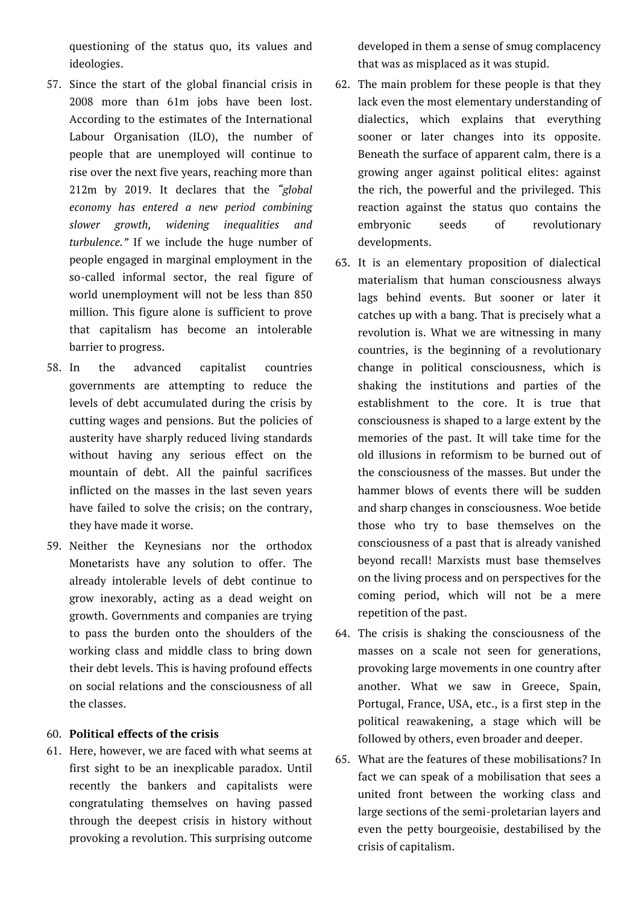questioning of the status quo, its values and ideologies.

- 57. Since the start of the global financial crisis in 2008 more than 61m jobs have been lost. According to the estimates of the International Labour Organisation (ILO), the number of people that are unemployed will continue to rise over the next five years, reaching more than 212m by 2019. It declares that the *"global economy has entered a new period combining slower growth, widening inequalities and turbulence."* If we include the huge number of people engaged in marginal employment in the so-called informal sector, the real figure of world unemployment will not be less than 850 million. This figure alone is sufficient to prove that capitalism has become an intolerable barrier to progress.
- 58. In the advanced capitalist countries governments are attempting to reduce the levels of debt accumulated during the crisis by cutting wages and pensions. But the policies of austerity have sharply reduced living standards without having any serious effect on the mountain of debt. All the painful sacrifices inflicted on the masses in the last seven years have failed to solve the crisis; on the contrary, they have made it worse.
- 59. Neither the Keynesians nor the orthodox Monetarists have any solution to offer. The already intolerable levels of debt continue to grow inexorably, acting as a dead weight on growth. Governments and companies are trying to pass the burden onto the shoulders of the working class and middle class to bring down their debt levels. This is having profound effects on social relations and the consciousness of all the classes.

## 60. **Political effects of the crisis**

61. Here, however, we are faced with what seems at first sight to be an inexplicable paradox. Until recently the bankers and capitalists were congratulating themselves on having passed through the deepest crisis in history without provoking a revolution. This surprising outcome developed in them a sense of smug complacency that was as misplaced as it was stupid.

- 62. The main problem for these people is that they lack even the most elementary understanding of dialectics, which explains that everything sooner or later changes into its opposite. Beneath the surface of apparent calm, there is a growing anger against political elites: against the rich, the powerful and the privileged. This reaction against the status quo contains the embryonic seeds of revolutionary developments.
- 63. It is an elementary proposition of dialectical materialism that human consciousness always lags behind events. But sooner or later it catches up with a bang. That is precisely what a revolution is. What we are witnessing in many countries, is the beginning of a revolutionary change in political consciousness, which is shaking the institutions and parties of the establishment to the core. It is true that consciousness is shaped to a large extent by the memories of the past. It will take time for the old illusions in reformism to be burned out of the consciousness of the masses. But under the hammer blows of events there will be sudden and sharp changes in consciousness. Woe betide those who try to base themselves on the consciousness of a past that is already vanished beyond recall! Marxists must base themselves on the living process and on perspectives for the coming period, which will not be a mere repetition of the past.
- 64. The crisis is shaking the consciousness of the masses on a scale not seen for generations, provoking large movements in one country after another. What we saw in Greece, Spain, Portugal, France, USA, etc., is a first step in the political reawakening, a stage which will be followed by others, even broader and deeper.
- 65. What are the features of these mobilisations? In fact we can speak of a mobilisation that sees a united front between the working class and large sections of the semi-proletarian layers and even the petty bourgeoisie, destabilised by the crisis of capitalism.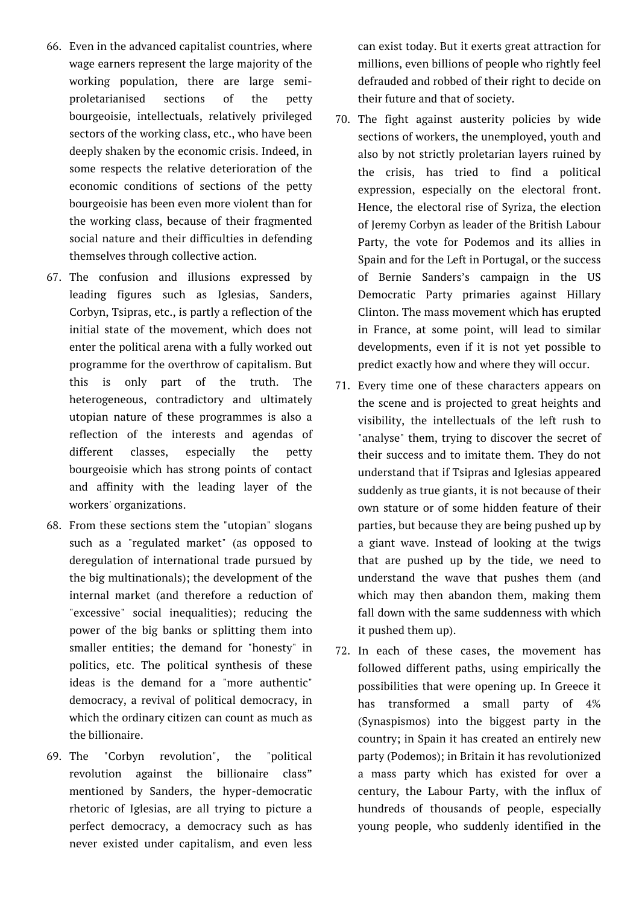- 66. Even in the advanced capitalist countries, where wage earners represent the large majority of the working population, there are large semiproletarianised sections of the petty bourgeoisie, intellectuals, relatively privileged sectors of the working class, etc., who have been deeply shaken by the economic crisis. Indeed, in some respects the relative deterioration of the economic conditions of sections of the petty bourgeoisie has been even more violent than for the working class, because of their fragmented social nature and their difficulties in defending themselves through collective action.
- 67. The confusion and illusions expressed by leading figures such as Iglesias, Sanders, Corbyn, Tsipras, etc., is partly a reflection of the initial state of the movement, which does not enter the political arena with a fully worked out programme for the overthrow of capitalism. But this is only part of the truth. The heterogeneous, contradictory and ultimately utopian nature of these programmes is also a reflection of the interests and agendas of different classes, especially the petty bourgeoisie which has strong points of contact and affinity with the leading layer of the workers' organizations.
- 68. From these sections stem the "utopian" slogans such as a "regulated market" (as opposed to deregulation of international trade pursued by the big multinationals); the development of the internal market (and therefore a reduction of "excessive" social inequalities); reducing the power of the big banks or splitting them into smaller entities; the demand for "honesty" in politics, etc. The political synthesis of these ideas is the demand for a "more authentic" democracy, a revival of political democracy, in which the ordinary citizen can count as much as the billionaire.
- 69. The "Corbyn revolution", the "political revolution against the billionaire class" mentioned by Sanders, the hyper-democratic rhetoric of Iglesias, are all trying to picture a perfect democracy, a democracy such as has never existed under capitalism, and even less

can exist today. But it exerts great attraction for millions, even billions of people who rightly feel defrauded and robbed of their right to decide on their future and that of society.

- 70. The fight against austerity policies by wide sections of workers, the unemployed, youth and also by not strictly proletarian layers ruined by the crisis, has tried to find a political expression, especially on the electoral front. Hence, the electoral rise of Syriza, the election of Jeremy Corbyn as leader of the British Labour Party, the vote for Podemos and its allies in Spain and for the Left in Portugal, or the success of Bernie Sanders's campaign in the US Democratic Party primaries against Hillary Clinton. The mass movement which has erupted in France, at some point, will lead to similar developments, even if it is not yet possible to predict exactly how and where they will occur.
- 71. Every time one of these characters appears on the scene and is projected to great heights and visibility, the intellectuals of the left rush to "analyse" them, trying to discover the secret of their success and to imitate them. They do not understand that if Tsipras and Iglesias appeared suddenly as true giants, it is not because of their own stature or of some hidden feature of their parties, but because they are being pushed up by a giant wave. Instead of looking at the twigs that are pushed up by the tide, we need to understand the wave that pushes them (and which may then abandon them, making them fall down with the same suddenness with which it pushed them up).
- 72. In each of these cases, the movement has followed different paths, using empirically the possibilities that were opening up. In Greece it has transformed a small party of 4% (Synaspismos) into the biggest party in the country; in Spain it has created an entirely new party (Podemos); in Britain it has revolutionized a mass party which has existed for over a century, the Labour Party, with the influx of hundreds of thousands of people, especially young people, who suddenly identified in the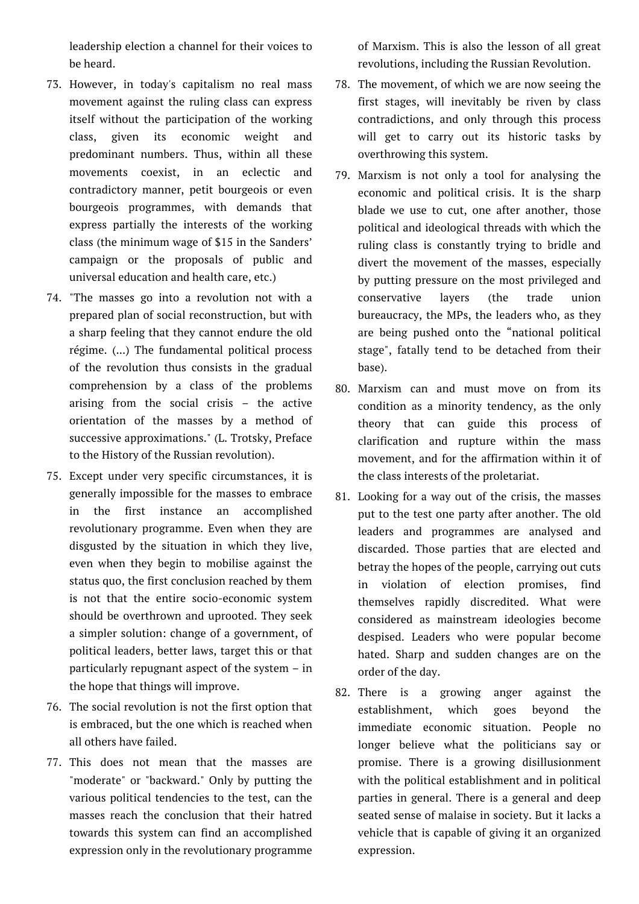leadership election a channel for their voices to be heard.

- 73. However, in today's capitalism no real mass movement against the ruling class can express itself without the participation of the working class, given its economic weight and predominant numbers. Thus, within all these movements coexist, in an eclectic and contradictory manner, petit bourgeois or even bourgeois programmes, with demands that express partially the interests of the working class (the minimum wage of \$15 in the Sanders' campaign or the proposals of public and universal education and health care, etc.)
- 74. "The masses go into a revolution not with a prepared plan of social reconstruction, but with a sharp feeling that they cannot endure the old régime. (...) The fundamental political process of the revolution thus consists in the gradual comprehension by a class of the problems arising from the social crisis – the active orientation of the masses by a method of successive approximations." (L. Trotsky, Preface to the History of the Russian revolution).
- 75. Except under very specific circumstances, it is generally impossible for the masses to embrace in the first instance an accomplished revolutionary programme. Even when they are disgusted by the situation in which they live, even when they begin to mobilise against the status quo, the first conclusion reached by them is not that the entire socio-economic system should be overthrown and uprooted. They seek a simpler solution: change of a government, of political leaders, better laws, target this or that particularly repugnant aspect of the system – in the hope that things will improve.
- 76. The social revolution is not the first option that is embraced, but the one which is reached when all others have failed.
- 77. This does not mean that the masses are "moderate" or "backward." Only by putting the various political tendencies to the test, can the masses reach the conclusion that their hatred towards this system can find an accomplished expression only in the revolutionary programme

of Marxism. This is also the lesson of all great revolutions, including the Russian Revolution.

- 78. The movement, of which we are now seeing the first stages, will inevitably be riven by class contradictions, and only through this process will get to carry out its historic tasks by overthrowing this system.
- 79. Marxism is not only a tool for analysing the economic and political crisis. It is the sharp blade we use to cut, one after another, those political and ideological threads with which the ruling class is constantly trying to bridle and divert the movement of the masses, especially by putting pressure on the most privileged and conservative layers (the trade union bureaucracy, the MPs, the leaders who, as they are being pushed onto the "national political stage", fatally tend to be detached from their base).
- 80. Marxism can and must move on from its condition as a minority tendency, as the only theory that can guide this process of clarification and rupture within the mass movement, and for the affirmation within it of the class interests of the proletariat.
- 81. Looking for a way out of the crisis, the masses put to the test one party after another. The old leaders and programmes are analysed and discarded. Those parties that are elected and betray the hopes of the people, carrying out cuts in violation of election promises, find themselves rapidly discredited. What were considered as mainstream ideologies become despised. Leaders who were popular become hated. Sharp and sudden changes are on the order of the day.
- 82. There is a growing anger against the establishment, which goes beyond the immediate economic situation. People no longer believe what the politicians say or promise. There is a growing disillusionment with the political establishment and in political parties in general. There is a general and deep seated sense of malaise in society. But it lacks a vehicle that is capable of giving it an organized expression.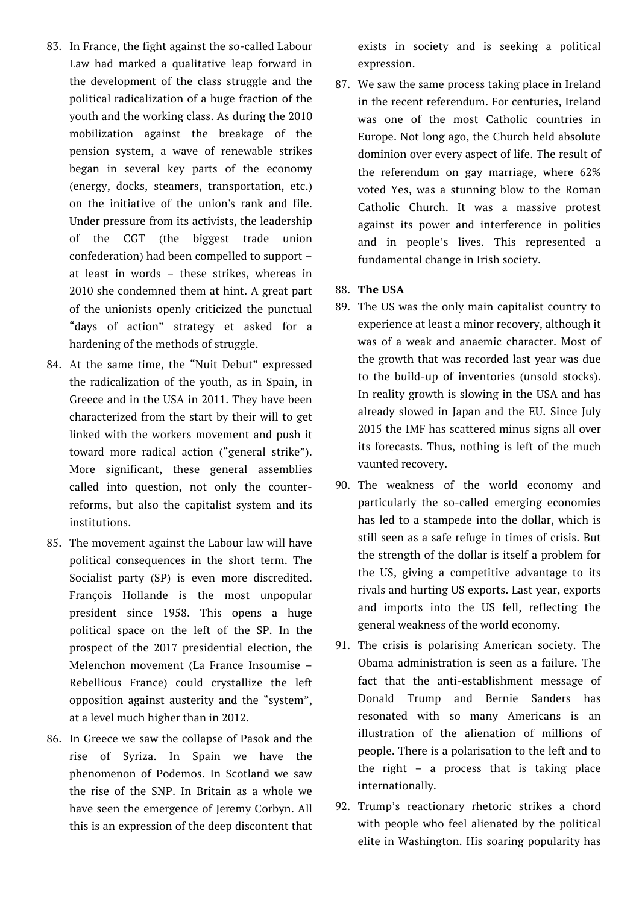- 83. In France, the fight against the so-called Labour Law had marked a qualitative leap forward in the development of the class struggle and the political radicalization of a huge fraction of the youth and the working class. As during the 2010 mobilization against the breakage of the pension system, a wave of renewable strikes began in several key parts of the economy (energy, docks, steamers, transportation, etc.) on the initiative of the union's rank and file. Under pressure from its activists, the leadership of the CGT (the biggest trade union confederation) had been compelled to support – at least in words – these strikes, whereas in 2010 she condemned them at hint. A great part of the unionists openly criticized the punctual "days of action" strategy et asked for a hardening of the methods of struggle.
- 84. At the same time, the "Nuit Debut" expressed the radicalization of the youth, as in Spain, in Greece and in the USA in 2011. They have been characterized from the start by their will to get linked with the workers movement and push it toward more radical action ("general strike"). More significant, these general assemblies called into question, not only the counterreforms, but also the capitalist system and its institutions.
- 85. The movement against the Labour law will have political consequences in the short term. The Socialist party (SP) is even more discredited. François Hollande is the most unpopular president since 1958. This opens a huge political space on the left of the SP. In the prospect of the 2017 presidential election, the Melenchon movement (La France Insoumise – Rebellious France) could crystallize the left opposition against austerity and the "system", at a level much higher than in 2012.
- 86. In Greece we saw the collapse of Pasok and the rise of Syriza. In Spain we have the phenomenon of Podemos. In Scotland we saw the rise of the SNP. In Britain as a whole we have seen the emergence of Jeremy Corbyn. All this is an expression of the deep discontent that

exists in society and is seeking a political expression.

87. We saw the same process taking place in Ireland in the recent referendum. For centuries, Ireland was one of the most Catholic countries in Europe. Not long ago, the Church held absolute dominion over every aspect of life. The result of the referendum on gay marriage, where 62% voted Yes, was a stunning blow to the Roman Catholic Church. It was a massive protest against its power and interference in politics and in people's lives. This represented a fundamental change in Irish society.

# 88. **The USA**

- 89. The US was the only main capitalist country to experience at least a minor recovery, although it was of a weak and anaemic character. Most of the growth that was recorded last year was due to the build-up of inventories (unsold stocks). In reality growth is slowing in the USA and has already slowed in Japan and the EU. Since July 2015 the IMF has scattered minus signs all over its forecasts. Thus, nothing is left of the much vaunted recovery.
- 90. The weakness of the world economy and particularly the so-called emerging economies has led to a stampede into the dollar, which is still seen as a safe refuge in times of crisis. But the strength of the dollar is itself a problem for the US, giving a competitive advantage to its rivals and hurting US exports. Last year, exports and imports into the US fell, reflecting the general weakness of the world economy.
- 91. The crisis is polarising American society. The Obama administration is seen as a failure. The fact that the anti-establishment message of Donald Trump and Bernie Sanders has resonated with so many Americans is an illustration of the alienation of millions of people. There is a polarisation to the left and to the right – a process that is taking place internationally.
- 92. Trump's reactionary rhetoric strikes a chord with people who feel alienated by the political elite in Washington. His soaring popularity has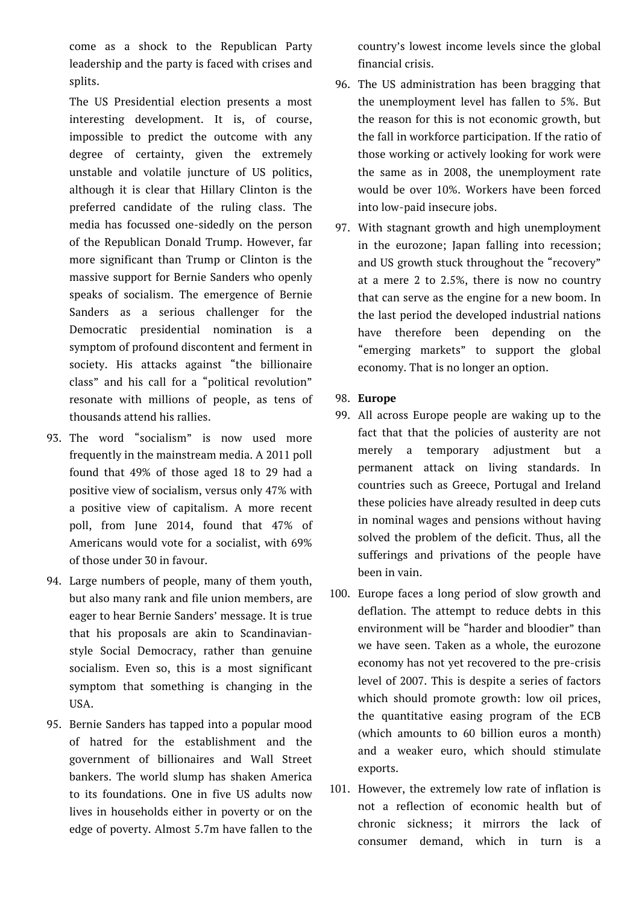come as a shock to the Republican Party leadership and the party is faced with crises and splits.

The US Presidential election presents a most interesting development. It is, of course, impossible to predict the outcome with any degree of certainty, given the extremely unstable and volatile juncture of US politics, although it is clear that Hillary Clinton is the preferred candidate of the ruling class. The media has focussed one-sidedly on the person of the Republican Donald Trump. However, far more significant than Trump or Clinton is the massive support for Bernie Sanders who openly speaks of socialism. The emergence of Bernie Sanders as a serious challenger for the Democratic presidential nomination is a symptom of profound discontent and ferment in society. His attacks against "the billionaire class" and his call for a "political revolution" resonate with millions of people, as tens of thousands attend his rallies.

- 93. The word "socialism" is now used more frequently in the mainstream media. A 2011 poll found that 49% of those aged 18 to 29 had a positive view of socialism, versus only 47% with a positive view of capitalism. A more recent poll, from June 2014, found that 47% of Americans would vote for a socialist, with 69% of those under 30 in favour.
- 94. Large numbers of people, many of them youth, but also many rank and file union members, are eager to hear Bernie Sanders' message. It is true that his proposals are akin to Scandinavianstyle Social Democracy, rather than genuine socialism. Even so, this is a most significant symptom that something is changing in the USA.
- 95. Bernie Sanders has tapped into a popular mood of hatred for the establishment and the government of billionaires and Wall Street bankers. The world slump has shaken America to its foundations. One in five US adults now lives in households either in poverty or on the edge of poverty. Almost 5.7m have fallen to the

country's lowest income levels since the global financial crisis.

- 96. The US administration has been bragging that the unemployment level has fallen to 5%. But the reason for this is not economic growth, but the fall in workforce participation. If the ratio of those working or actively looking for work were the same as in 2008, the unemployment rate would be over 10%. Workers have been forced into low-paid insecure jobs.
- 97. With stagnant growth and high unemployment in the eurozone; Japan falling into recession; and US growth stuck throughout the "recovery" at a mere 2 to 2.5%, there is now no country that can serve as the engine for a new boom. In the last period the developed industrial nations have therefore been depending on the "emerging markets" to support the global economy. That is no longer an option.
- 98. **Europe**
- 99. All across Europe people are waking up to the fact that that the policies of austerity are not merely a temporary adjustment but a permanent attack on living standards. In countries such as Greece, Portugal and Ireland these policies have already resulted in deep cuts in nominal wages and pensions without having solved the problem of the deficit. Thus, all the sufferings and privations of the people have been in vain.
- 100. Europe faces a long period of slow growth and deflation. The attempt to reduce debts in this environment will be "harder and bloodier" than we have seen. Taken as a whole, the eurozone economy has not yet recovered to the pre-crisis level of 2007. This is despite a series of factors which should promote growth: low oil prices, the quantitative easing program of the ECB (which amounts to 60 billion euros a month) and a weaker euro, which should stimulate exports.
- 101. However, the extremely low rate of inflation is not a reflection of economic health but of chronic sickness; it mirrors the lack of consumer demand, which in turn is a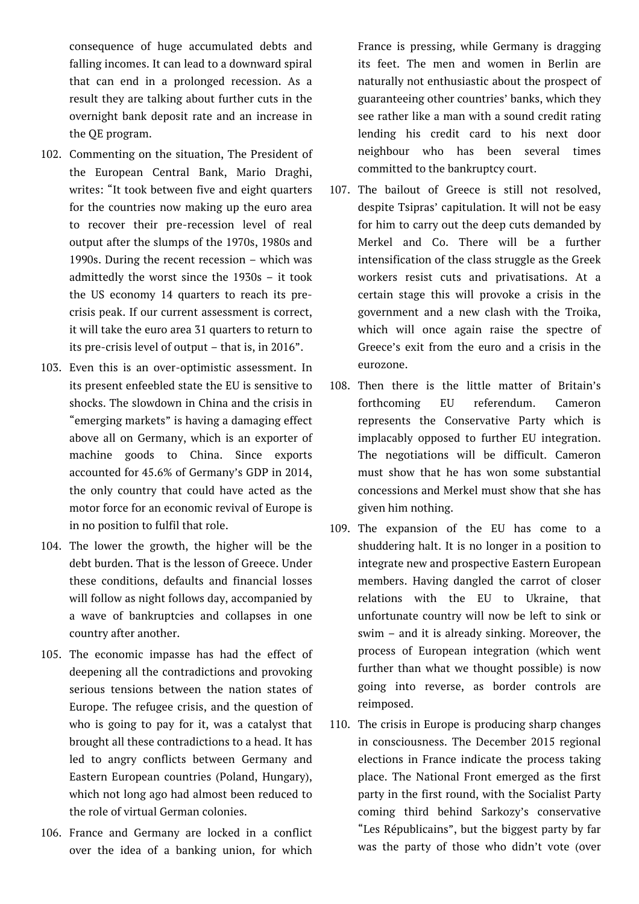consequence of huge accumulated debts and falling incomes. It can lead to a downward spiral that can end in a prolonged recession. As a result they are talking about further cuts in the overnight bank deposit rate and an increase in the QE program.

- 102. Commenting on the situation, The President of the European Central Bank, Mario Draghi, writes: "It took between five and eight quarters for the countries now making up the euro area to recover their pre-recession level of real output after the slumps of the 1970s, 1980s and 1990s. During the recent recession – which was admittedly the worst since the 1930s – it took the US economy 14 quarters to reach its precrisis peak. If our current assessment is correct, it will take the euro area 31 quarters to return to its pre-crisis level of output – that is, in 2016".
- 103. Even this is an over-optimistic assessment. In its present enfeebled state the EU is sensitive to shocks. The slowdown in China and the crisis in "emerging markets" is having a damaging effect above all on Germany, which is an exporter of machine goods to China. Since exports accounted for 45.6% of Germany's GDP in 2014, the only country that could have acted as the motor force for an economic revival of Europe is in no position to fulfil that role.
- 104. The lower the growth, the higher will be the debt burden. That is the lesson of Greece. Under these conditions, defaults and financial losses will follow as night follows day, accompanied by a wave of bankruptcies and collapses in one country after another.
- 105. The economic impasse has had the effect of deepening all the contradictions and provoking serious tensions between the nation states of Europe. The refugee crisis, and the question of who is going to pay for it, was a catalyst that brought all these contradictions to a head. It has led to angry conflicts between Germany and Eastern European countries (Poland, Hungary), which not long ago had almost been reduced to the role of virtual German colonies.
- 106. France and Germany are locked in a conflict over the idea of a banking union, for which

France is pressing, while Germany is dragging its feet. The men and women in Berlin are naturally not enthusiastic about the prospect of guaranteeing other countries' banks, which they see rather like a man with a sound credit rating lending his credit card to his next door neighbour who has been several times committed to the bankruptcy court.

- 107. The bailout of Greece is still not resolved, despite Tsipras' capitulation. It will not be easy for him to carry out the deep cuts demanded by Merkel and Co. There will be a further intensification of the class struggle as the Greek workers resist cuts and privatisations. At a certain stage this will provoke a crisis in the government and a new clash with the Troika, which will once again raise the spectre of Greece's exit from the euro and a crisis in the eurozone.
- 108. Then there is the little matter of Britain's forthcoming EU referendum. Cameron represents the Conservative Party which is implacably opposed to further EU integration. The negotiations will be difficult. Cameron must show that he has won some substantial concessions and Merkel must show that she has given him nothing.
- 109. The expansion of the EU has come to a shuddering halt. It is no longer in a position to integrate new and prospective Eastern European members. Having dangled the carrot of closer relations with the EU to Ukraine, that unfortunate country will now be left to sink or swim – and it is already sinking. Moreover, the process of European integration (which went further than what we thought possible) is now going into reverse, as border controls are reimposed.
- 110. The crisis in Europe is producing sharp changes in consciousness. The December 2015 regional elections in France indicate the process taking place. The National Front emerged as the first party in the first round, with the Socialist Party coming third behind Sarkozy's conservative "Les Républicains", but the biggest party by far was the party of those who didn't vote (over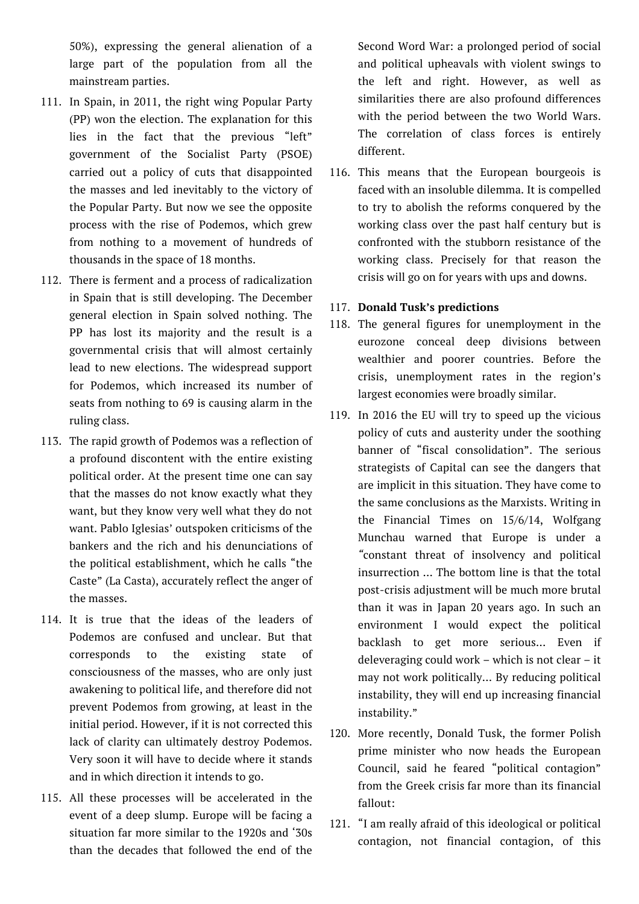50%), expressing the general alienation of a large part of the population from all the mainstream parties.

- 111. In Spain, in 2011, the right wing Popular Party (PP) won the election. The explanation for this lies in the fact that the previous "left" government of the Socialist Party (PSOE) carried out a policy of cuts that disappointed the masses and led inevitably to the victory of the Popular Party. But now we see the opposite process with the rise of Podemos, which grew from nothing to a movement of hundreds of thousands in the space of 18 months.
- 112. There is ferment and a process of radicalization in Spain that is still developing. The December general election in Spain solved nothing. The PP has lost its majority and the result is a governmental crisis that will almost certainly lead to new elections. The widespread support for Podemos, which increased its number of seats from nothing to 69 is causing alarm in the ruling class.
- 113. The rapid growth of Podemos was a reflection of a profound discontent with the entire existing political order. At the present time one can say that the masses do not know exactly what they want, but they know very well what they do not want. Pablo Iglesias' outspoken criticisms of the bankers and the rich and his denunciations of the political establishment, which he calls "the Caste" (La Casta), accurately reflect the anger of the masses.
- 114. It is true that the ideas of the leaders of Podemos are confused and unclear. But that corresponds to the existing state of consciousness of the masses, who are only just awakening to political life, and therefore did not prevent Podemos from growing, at least in the initial period. However, if it is not corrected this lack of clarity can ultimately destroy Podemos. Very soon it will have to decide where it stands and in which direction it intends to go.
- 115. All these processes will be accelerated in the event of a deep slump. Europe will be facing a situation far more similar to the 1920s and '30s than the decades that followed the end of the

Second Word War: a prolonged period of social and political upheavals with violent swings to the left and right. However, as well as similarities there are also profound differences with the period between the two World Wars. The correlation of class forces is entirely different.

- 116. This means that the European bourgeois is faced with an insoluble dilemma. It is compelled to try to abolish the reforms conquered by the working class over the past half century but is confronted with the stubborn resistance of the working class. Precisely for that reason the crisis will go on for years with ups and downs.
- 117. **Donald Tusk's predictions**
- 118. The general figures for unemployment in the eurozone conceal deep divisions between wealthier and poorer countries. Before the crisis, unemployment rates in the region's largest economies were broadly similar.
- 119. In 2016 the EU will try to speed up the vicious policy of cuts and austerity under the soothing banner of "fiscal consolidation". The serious strategists of Capital can see the dangers that are implicit in this situation. They have come to the same conclusions as the Marxists. Writing in the Financial Times on 15/6/14, Wolfgang Munchau warned that Europe is under a *"*constant threat of insolvency and political insurrection … The bottom line is that the total post-crisis adjustment will be much more brutal than it was in Japan 20 years ago. In such an environment I would expect the political backlash to get more serious… Even if deleveraging could work – which is not clear – it may not work politically… By reducing political instability, they will end up increasing financial instability."
- 120. More recently, Donald Tusk, the former Polish prime minister who now heads the European Council, said he feared "political contagion" from the Greek crisis far more than its financial fallout:
- 121. "I am really afraid of this ideological or political contagion, not financial contagion, of this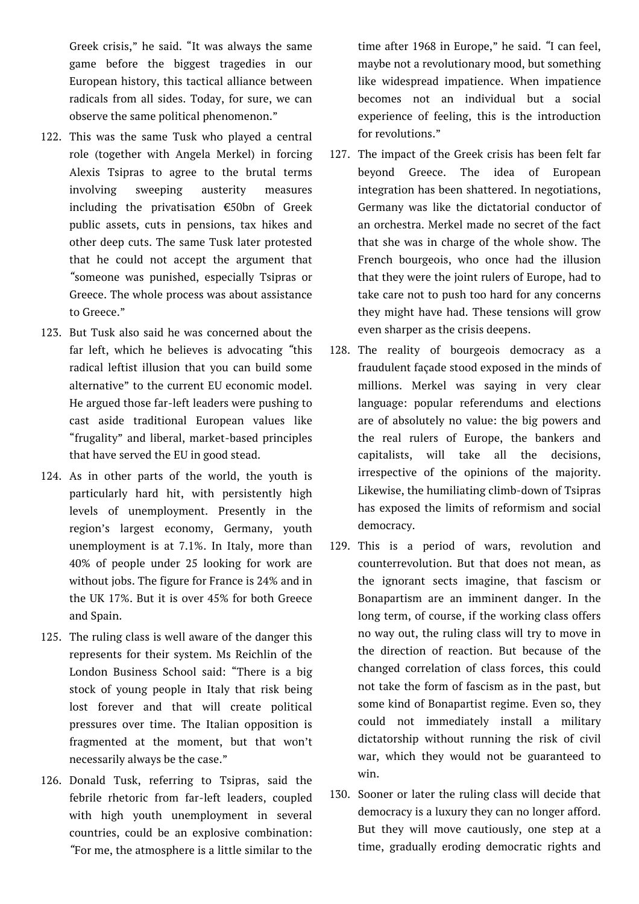Greek crisis," he said. "It was always the same game before the biggest tragedies in our European history, this tactical alliance between radicals from all sides. Today, for sure, we can observe the same political phenomenon."

- 122. This was the same Tusk who played a central role (together with Angela Merkel) in forcing Alexis Tsipras to agree to the brutal terms involving sweeping austerity measures including the privatisation €50bn of Greek public assets, cuts in pensions, tax hikes and other deep cuts. The same Tusk later protested that he could not accept the argument that *"*someone was punished, especially Tsipras or Greece. The whole process was about assistance to Greece."
- 123. But Tusk also said he was concerned about the far left, which he believes is advocating *"*this radical leftist illusion that you can build some alternative" to the current EU economic model. He argued those far-left leaders were pushing to cast aside traditional European values like "frugality" and liberal, market-based principles that have served the EU in good stead.
- 124. As in other parts of the world, the youth is particularly hard hit, with persistently high levels of unemployment. Presently in the region's largest economy, Germany, youth unemployment is at 7.1%. In Italy, more than 40% of people under 25 looking for work are without jobs. The figure for France is 24% and in the UK 17%. But it is over 45% for both Greece and Spain.
- 125. The ruling class is well aware of the danger this represents for their system. Ms Reichlin of the London Business School said: "There is a big stock of young people in Italy that risk being lost forever and that will create political pressures over time. The Italian opposition is fragmented at the moment, but that won't necessarily always be the case."
- 126. Donald Tusk, referring to Tsipras, said the febrile rhetoric from far-left leaders, coupled with high youth unemployment in several countries, could be an explosive combination: *"*For me, the atmosphere is a little similar to the

time after 1968 in Europe," he said. *"*I can feel, maybe not a revolutionary mood, but something like widespread impatience. When impatience becomes not an individual but a social experience of feeling, this is the introduction for revolutions."

- 127. The impact of the Greek crisis has been felt far beyond Greece. The idea of European integration has been shattered. In negotiations, Germany was like the dictatorial conductor of an orchestra. Merkel made no secret of the fact that she was in charge of the whole show. The French bourgeois, who once had the illusion that they were the joint rulers of Europe, had to take care not to push too hard for any concerns they might have had. These tensions will grow even sharper as the crisis deepens.
- 128. The reality of bourgeois democracy as a fraudulent façade stood exposed in the minds of millions. Merkel was saying in very clear language: popular referendums and elections are of absolutely no value: the big powers and the real rulers of Europe, the bankers and capitalists, will take all the decisions, irrespective of the opinions of the majority. Likewise, the humiliating climb-down of Tsipras has exposed the limits of reformism and social democracy.
- 129. This is a period of wars, revolution and counterrevolution. But that does not mean, as the ignorant sects imagine, that fascism or Bonapartism are an imminent danger. In the long term, of course, if the working class offers no way out, the ruling class will try to move in the direction of reaction. But because of the changed correlation of class forces, this could not take the form of fascism as in the past, but some kind of Bonapartist regime. Even so, they could not immediately install a military dictatorship without running the risk of civil war, which they would not be guaranteed to win.
- 130. Sooner or later the ruling class will decide that democracy is a luxury they can no longer afford. But they will move cautiously, one step at a time, gradually eroding democratic rights and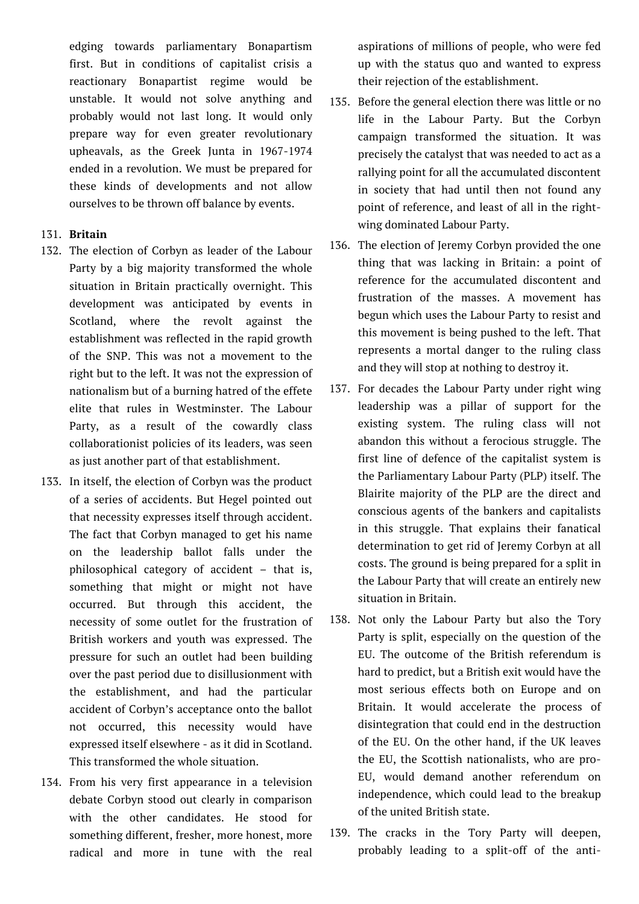edging towards parliamentary Bonapartism first. But in conditions of capitalist crisis a reactionary Bonapartist regime would be unstable. It would not solve anything and probably would not last long. It would only prepare way for even greater revolutionary upheavals, as the Greek Junta in 1967-1974 ended in a revolution. We must be prepared for these kinds of developments and not allow ourselves to be thrown off balance by events.

# 131. **Britain**

- 132. The election of Corbyn as leader of the Labour Party by a big majority transformed the whole situation in Britain practically overnight. This development was anticipated by events in Scotland, where the revolt against the establishment was reflected in the rapid growth of the SNP. This was not a movement to the right but to the left. It was not the expression of nationalism but of a burning hatred of the effete elite that rules in Westminster. The Labour Party, as a result of the cowardly class collaborationist policies of its leaders, was seen as just another part of that establishment.
- 133. In itself, the election of Corbyn was the product of a series of accidents. But Hegel pointed out that necessity expresses itself through accident. The fact that Corbyn managed to get his name on the leadership ballot falls under the philosophical category of accident – that is, something that might or might not have occurred. But through this accident, the necessity of some outlet for the frustration of British workers and youth was expressed. The pressure for such an outlet had been building over the past period due to disillusionment with the establishment, and had the particular accident of Corbyn's acceptance onto the ballot not occurred, this necessity would have expressed itself elsewhere - as it did in Scotland. This transformed the whole situation.
- 134. From his very first appearance in a television debate Corbyn stood out clearly in comparison with the other candidates. He stood for something different, fresher, more honest, more radical and more in tune with the real

aspirations of millions of people, who were fed up with the status quo and wanted to express their rejection of the establishment.

- 135. Before the general election there was little or no life in the Labour Party. But the Corbyn campaign transformed the situation. It was precisely the catalyst that was needed to act as a rallying point for all the accumulated discontent in society that had until then not found any point of reference, and least of all in the rightwing dominated Labour Party.
- 136. The election of Jeremy Corbyn provided the one thing that was lacking in Britain: a point of reference for the accumulated discontent and frustration of the masses. A movement has begun which uses the Labour Party to resist and this movement is being pushed to the left. That represents a mortal danger to the ruling class and they will stop at nothing to destroy it.
- 137. For decades the Labour Party under right wing leadership was a pillar of support for the existing system. The ruling class will not abandon this without a ferocious struggle. The first line of defence of the capitalist system is the Parliamentary Labour Party (PLP) itself. The Blairite majority of the PLP are the direct and conscious agents of the bankers and capitalists in this struggle. That explains their fanatical determination to get rid of Jeremy Corbyn at all costs. The ground is being prepared for a split in the Labour Party that will create an entirely new situation in Britain.
- 138. Not only the Labour Party but also the Tory Party is split, especially on the question of the EU. The outcome of the British referendum is hard to predict, but a British exit would have the most serious effects both on Europe and on Britain. It would accelerate the process of disintegration that could end in the destruction of the EU. On the other hand, if the UK leaves the EU, the Scottish nationalists, who are pro-EU, would demand another referendum on independence, which could lead to the breakup of the united British state.
- 139. The cracks in the Tory Party will deepen, probably leading to a split-off of the anti-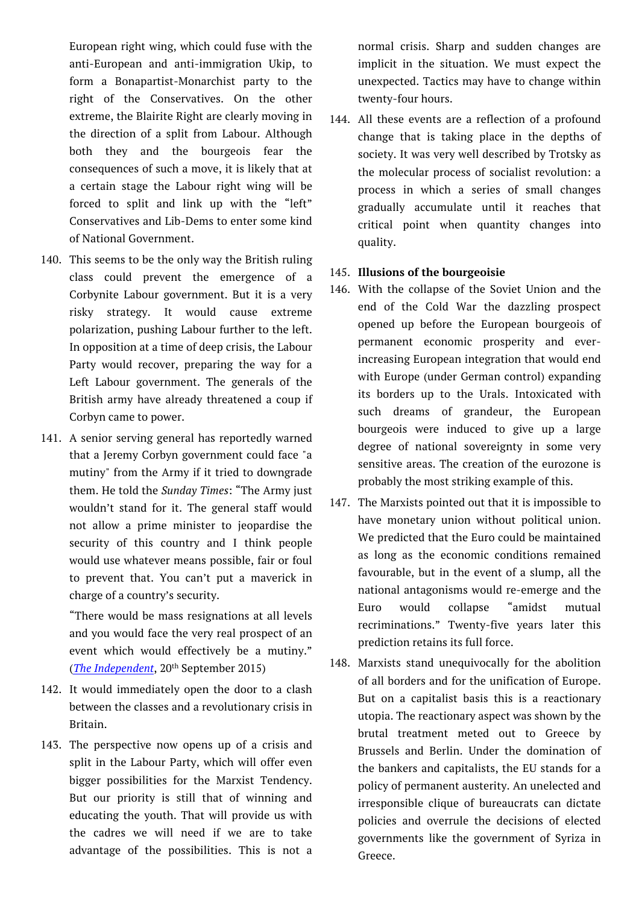European right wing, which could fuse with the anti-European and anti-immigration Ukip, to form a Bonapartist-Monarchist party to the right of the Conservatives. On the other extreme, the Blairite Right are clearly moving in the direction of a split from Labour. Although both they and the bourgeois fear the consequences of such a move, it is likely that at a certain stage the Labour right wing will be forced to split and link up with the "left" Conservatives and Lib-Dems to enter some kind of National Government.

- 140. This seems to be the only way the British ruling class could prevent the emergence of a Corbynite Labour government. But it is a very risky strategy. It would cause extreme polarization, pushing Labour further to the left. In opposition at a time of deep crisis, the Labour Party would recover, preparing the way for a Left Labour government. The generals of the British army have already threatened a coup if Corbyn came to power.
- 141. A senior serving general has reportedly warned that a Jeremy Corbyn government could face "a mutiny" from the Army if it tried to downgrade them. He told the *Sunday Times*: "The Army just wouldn't stand for it. The general staff would not allow a prime minister to jeopardise the security of this country and I think people would use whatever means possible, fair or foul to prevent that. You can't put a maverick in charge of a country's security.

"There would be mass resignations at all levels and you would face the very real prospect of an event which would effectively be a mutiny." (*The Independent*, 20th September 2015)

- 142. It would immediately open the door to a clash between the classes and a revolutionary crisis in Britain.
- 143. The perspective now opens up of a crisis and split in the Labour Party, which will offer even bigger possibilities for the Marxist Tendency. But our priority is still that of winning and educating the youth. That will provide us with the cadres we will need if we are to take advantage of the possibilities. This is not a

normal crisis. Sharp and sudden changes are implicit in the situation. We must expect the unexpected. Tactics may have to change within twenty-four hours.

144. All these events are a reflection of a profound change that is taking place in the depths of society. It was very well described by Trotsky as the molecular process of socialist revolution: a process in which a series of small changes gradually accumulate until it reaches that critical point when quantity changes into quality.

## 145. **Illusions of the bourgeoisie**

- 146. With the collapse of the Soviet Union and the end of the Cold War the dazzling prospect opened up before the European bourgeois of permanent economic prosperity and everincreasing European integration that would end with Europe (under German control) expanding its borders up to the Urals. Intoxicated with such dreams of grandeur, the European bourgeois were induced to give up a large degree of national sovereignty in some very sensitive areas. The creation of the eurozone is probably the most striking example of this.
- 147. The Marxists pointed out that it is impossible to have monetary union without political union. We predicted that the Euro could be maintained as long as the economic conditions remained favourable, but in the event of a slump, all the national antagonisms would re-emerge and the Euro would collapse "amidst mutual recriminations." Twenty-five years later this prediction retains its full force.
- 148. Marxists stand unequivocally for the abolition of all borders and for the unification of Europe. But on a capitalist basis this is a reactionary utopia. The reactionary aspect was shown by the brutal treatment meted out to Greece by Brussels and Berlin. Under the domination of the bankers and capitalists, the EU stands for a policy of permanent austerity. An unelected and irresponsible clique of bureaucrats can dictate policies and overrule the decisions of elected governments like the government of Syriza in Greece.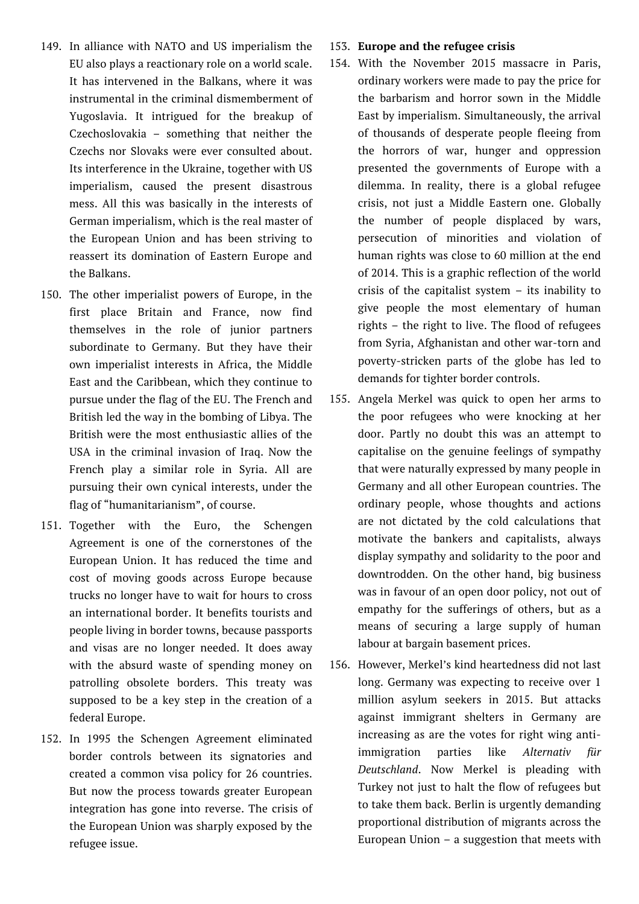- 149. In alliance with NATO and US imperialism the EU also plays a reactionary role on a world scale. It has intervened in the Balkans, where it was instrumental in the criminal dismemberment of Yugoslavia. It intrigued for the breakup of Czechoslovakia – something that neither the Czechs nor Slovaks were ever consulted about. Its interference in the Ukraine, together with US imperialism, caused the present disastrous mess. All this was basically in the interests of German imperialism, which is the real master of the European Union and has been striving to reassert its domination of Eastern Europe and the Balkans.
- 150. The other imperialist powers of Europe, in the first place Britain and France, now find themselves in the role of junior partners subordinate to Germany. But they have their own imperialist interests in Africa, the Middle East and the Caribbean, which they continue to pursue under the flag of the EU. The French and British led the way in the bombing of Libya. The British were the most enthusiastic allies of the USA in the criminal invasion of Iraq. Now the French play a similar role in Syria. All are pursuing their own cynical interests, under the flag of "humanitarianism", of course.
- 151. Together with the Euro, the Schengen Agreement is one of the cornerstones of the European Union. It has reduced the time and cost of moving goods across Europe because trucks no longer have to wait for hours to cross an international border. It benefits tourists and people living in border towns, because passports and visas are no longer needed. It does away with the absurd waste of spending money on patrolling obsolete borders. This treaty was supposed to be a key step in the creation of a federal Europe.
- 152. In 1995 the Schengen Agreement eliminated border controls between its signatories and created a common visa policy for 26 countries. But now the process towards greater European integration has gone into reverse. The crisis of the European Union was sharply exposed by the refugee issue.

#### 153. **Europe and the refugee crisis**

- 154. With the November 2015 massacre in Paris, ordinary workers were made to pay the price for the barbarism and horror sown in the Middle East by imperialism. Simultaneously, the arrival of thousands of desperate people fleeing from the horrors of war, hunger and oppression presented the governments of Europe with a dilemma. In reality, there is a global refugee crisis, not just a Middle Eastern one. Globally the number of people displaced by wars, persecution of minorities and violation of human rights was close to 60 million at the end of 2014. This is a graphic reflection of the world crisis of the capitalist system – its inability to give people the most elementary of human rights – the right to live. The flood of refugees from Syria, Afghanistan and other war-torn and poverty-stricken parts of the globe has led to demands for tighter border controls.
- 155. Angela Merkel was quick to open her arms to the poor refugees who were knocking at her door. Partly no doubt this was an attempt to capitalise on the genuine feelings of sympathy that were naturally expressed by many people in Germany and all other European countries. The ordinary people, whose thoughts and actions are not dictated by the cold calculations that motivate the bankers and capitalists, always display sympathy and solidarity to the poor and downtrodden. On the other hand, big business was in favour of an open door policy, not out of empathy for the sufferings of others, but as a means of securing a large supply of human labour at bargain basement prices.
- 156. However, Merkel's kind heartedness did not last long. Germany was expecting to receive over 1 million asylum seekers in 2015. But attacks against immigrant shelters in Germany are increasing as are the votes for right wing antiimmigration parties like *Alternativ für Deutschland*. Now Merkel is pleading with Turkey not just to halt the flow of refugees but to take them back. Berlin is urgently demanding proportional distribution of migrants across the European Union – a suggestion that meets with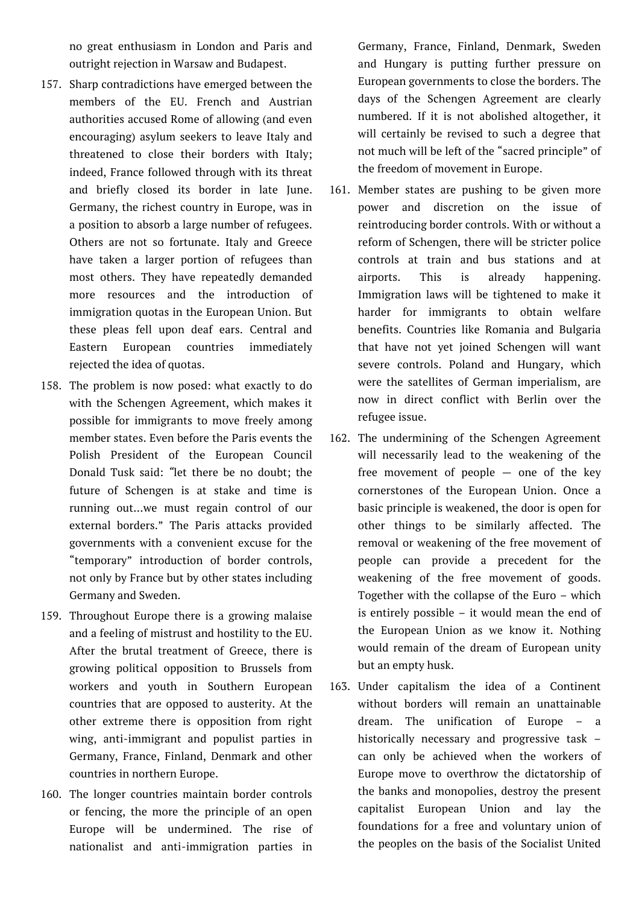no great enthusiasm in London and Paris and outright rejection in Warsaw and Budapest.

- 157. Sharp contradictions have emerged between the members of the EU. French and Austrian authorities accused Rome of allowing (and even encouraging) asylum seekers to leave Italy and threatened to close their borders with Italy; indeed, France followed through with its threat and briefly closed its border in late June. Germany, the richest country in Europe, was in a position to absorb a large number of refugees. Others are not so fortunate. Italy and Greece have taken a larger portion of refugees than most others. They have repeatedly demanded more resources and the introduction of immigration quotas in the European Union. But these pleas fell upon deaf ears. Central and Eastern European countries immediately rejected the idea of quotas.
- 158. The problem is now posed: what exactly to do with the Schengen Agreement, which makes it possible for immigrants to move freely among member states. Even before the Paris events the Polish President of the European Council Donald Tusk said: *"*let there be no doubt; the future of Schengen is at stake and time is running out…we must regain control of our external borders." The Paris attacks provided governments with a convenient excuse for the "temporary" introduction of border controls, not only by France but by other states including Germany and Sweden.
- 159. Throughout Europe there is a growing malaise and a feeling of mistrust and hostility to the EU. After the brutal treatment of Greece, there is growing political opposition to Brussels from workers and youth in Southern European countries that are opposed to austerity. At the other extreme there is opposition from right wing, anti-immigrant and populist parties in Germany, France, Finland, Denmark and other countries in northern Europe.
- 160. The longer countries maintain border controls or fencing, the more the principle of an open Europe will be undermined. The rise of nationalist and anti-immigration parties in

Germany, France, Finland, Denmark, Sweden and Hungary is putting further pressure on European governments to close the borders. The days of the Schengen Agreement are clearly numbered. If it is not abolished altogether, it will certainly be revised to such a degree that not much will be left of the "sacred principle" of the freedom of movement in Europe.

- 161. Member states are pushing to be given more power and discretion on the issue of reintroducing border controls. With or without a reform of Schengen, there will be stricter police controls at train and bus stations and at airports. This is already happening. Immigration laws will be tightened to make it harder for immigrants to obtain welfare benefits. Countries like Romania and Bulgaria that have not yet joined Schengen will want severe controls. Poland and Hungary, which were the satellites of German imperialism, are now in direct conflict with Berlin over the refugee issue.
- 162. The undermining of the Schengen Agreement will necessarily lead to the weakening of the free movement of people  $-$  one of the key cornerstones of the European Union. Once a basic principle is weakened, the door is open for other things to be similarly affected. The removal or weakening of the free movement of people can provide a precedent for the weakening of the free movement of goods. Together with the collapse of the Euro – which is entirely possible – it would mean the end of the European Union as we know it. Nothing would remain of the dream of European unity but an empty husk.
- 163. Under capitalism the idea of a Continent without borders will remain an unattainable dream. The unification of Europe – a historically necessary and progressive task – can only be achieved when the workers of Europe move to overthrow the dictatorship of the banks and monopolies, destroy the present capitalist European Union and lay the foundations for a free and voluntary union of the peoples on the basis of the Socialist United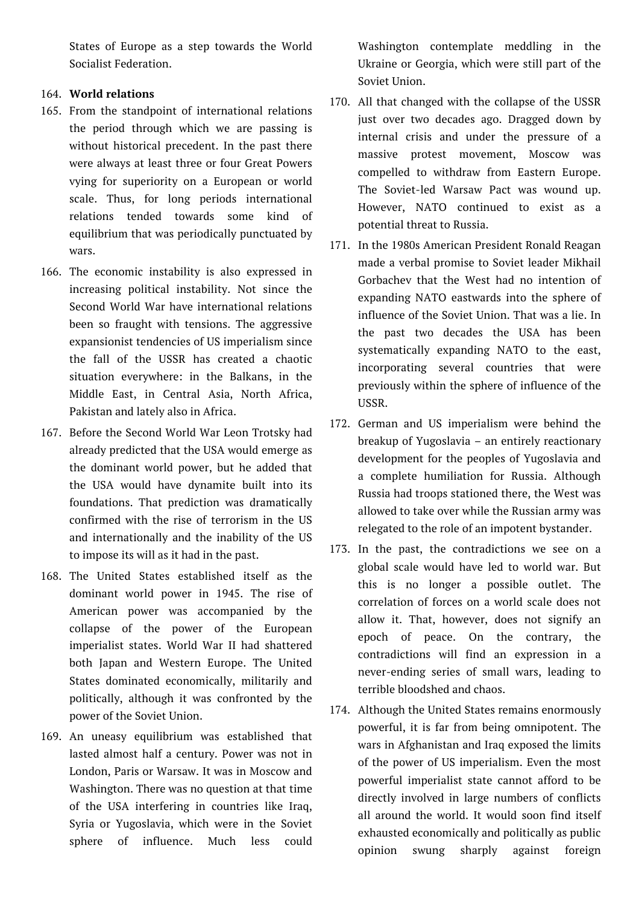States of Europe as a step towards the World Socialist Federation.

# 164. **World relations**

- 165. From the standpoint of international relations the period through which we are passing is without historical precedent. In the past there were always at least three or four Great Powers vying for superiority on a European or world scale. Thus, for long periods international relations tended towards some kind of equilibrium that was periodically punctuated by wars.
- 166. The economic instability is also expressed in increasing political instability. Not since the Second World War have international relations been so fraught with tensions. The aggressive expansionist tendencies of US imperialism since the fall of the USSR has created a chaotic situation everywhere: in the Balkans, in the Middle East, in Central Asia, North Africa, Pakistan and lately also in Africa.
- 167. Before the Second World War Leon Trotsky had already predicted that the USA would emerge as the dominant world power, but he added that the USA would have dynamite built into its foundations. That prediction was dramatically confirmed with the rise of terrorism in the US and internationally and the inability of the US to impose its will as it had in the past.
- 168. The United States established itself as the dominant world power in 1945. The rise of American power was accompanied by the collapse of the power of the European imperialist states. World War II had shattered both Japan and Western Europe. The United States dominated economically, militarily and politically, although it was confronted by the power of the Soviet Union.
- 169. An uneasy equilibrium was established that lasted almost half a century. Power was not in London, Paris or Warsaw. It was in Moscow and Washington. There was no question at that time of the USA interfering in countries like Iraq, Syria or Yugoslavia, which were in the Soviet sphere of influence. Much less could

Washington contemplate meddling in the Ukraine or Georgia, which were still part of the Soviet Union.

- 170. All that changed with the collapse of the USSR just over two decades ago. Dragged down by internal crisis and under the pressure of a massive protest movement, Moscow was compelled to withdraw from Eastern Europe. The Soviet-led Warsaw Pact was wound up. However, NATO continued to exist as a potential threat to Russia.
- 171. In the 1980s American President Ronald Reagan made a verbal promise to Soviet leader Mikhail Gorbachev that the West had no intention of expanding NATO eastwards into the sphere of influence of the Soviet Union. That was a lie. In the past two decades the USA has been systematically expanding NATO to the east, incorporating several countries that were previously within the sphere of influence of the USSR.
- 172. German and US imperialism were behind the breakup of Yugoslavia – an entirely reactionary development for the peoples of Yugoslavia and a complete humiliation for Russia. Although Russia had troops stationed there, the West was allowed to take over while the Russian army was relegated to the role of an impotent bystander.
- 173. In the past, the contradictions we see on a global scale would have led to world war. But this is no longer a possible outlet. The correlation of forces on a world scale does not allow it. That, however, does not signify an epoch of peace. On the contrary, the contradictions will find an expression in a never-ending series of small wars, leading to terrible bloodshed and chaos.
- 174. Although the United States remains enormously powerful, it is far from being omnipotent. The wars in Afghanistan and Iraq exposed the limits of the power of US imperialism. Even the most powerful imperialist state cannot afford to be directly involved in large numbers of conflicts all around the world. It would soon find itself exhausted economically and politically as public opinion swung sharply against foreign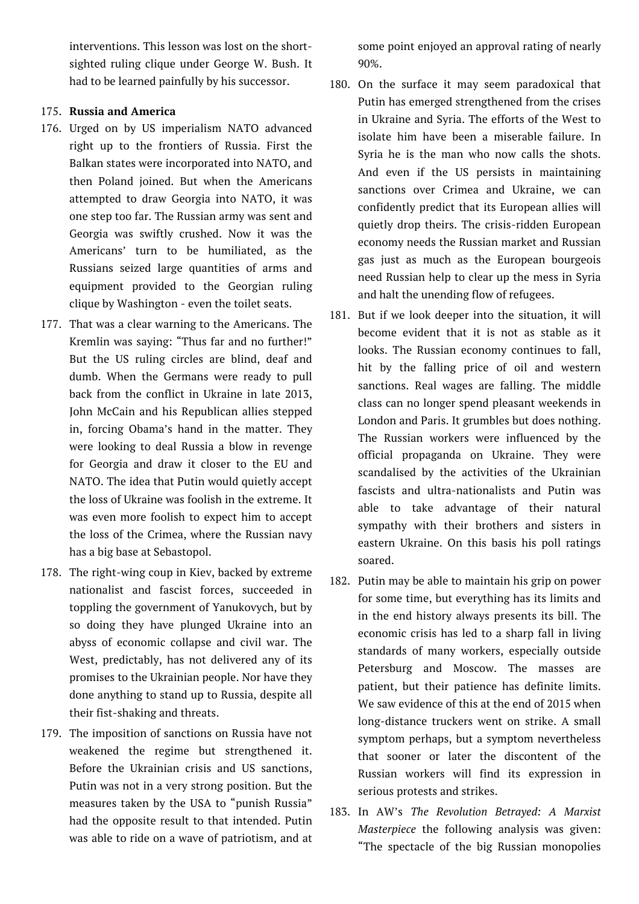interventions. This lesson was lost on the shortsighted ruling clique under George W. Bush. It had to be learned painfully by his successor.

## 175. **Russia and America**

- 176. Urged on by US imperialism NATO advanced right up to the frontiers of Russia. First the Balkan states were incorporated into NATO, and then Poland joined. But when the Americans attempted to draw Georgia into NATO, it was one step too far. The Russian army was sent and Georgia was swiftly crushed. Now it was the Americans' turn to be humiliated, as the Russians seized large quantities of arms and equipment provided to the Georgian ruling clique by Washington - even the toilet seats.
- 177. That was a clear warning to the Americans. The Kremlin was saying: "Thus far and no further!" But the US ruling circles are blind, deaf and dumb. When the Germans were ready to pull back from the conflict in Ukraine in late 2013, John McCain and his Republican allies stepped in, forcing Obama's hand in the matter. They were looking to deal Russia a blow in revenge for Georgia and draw it closer to the EU and NATO. The idea that Putin would quietly accept the loss of Ukraine was foolish in the extreme. It was even more foolish to expect him to accept the loss of the Crimea, where the Russian navy has a big base at Sebastopol.
- 178. The right-wing coup in Kiev, backed by extreme nationalist and fascist forces, succeeded in toppling the government of Yanukovych, but by so doing they have plunged Ukraine into an abyss of economic collapse and civil war. The West, predictably, has not delivered any of its promises to the Ukrainian people. Nor have they done anything to stand up to Russia, despite all their fist-shaking and threats.
- 179. The imposition of sanctions on Russia have not weakened the regime but strengthened it. Before the Ukrainian crisis and US sanctions, Putin was not in a very strong position. But the measures taken by the USA to "punish Russia" had the opposite result to that intended. Putin was able to ride on a wave of patriotism, and at

some point enjoyed an approval rating of nearly 90%.

- 180. On the surface it may seem paradoxical that Putin has emerged strengthened from the crises in Ukraine and Syria. The efforts of the West to isolate him have been a miserable failure. In Syria he is the man who now calls the shots. And even if the US persists in maintaining sanctions over Crimea and Ukraine, we can confidently predict that its European allies will quietly drop theirs. The crisis-ridden European economy needs the Russian market and Russian gas just as much as the European bourgeois need Russian help to clear up the mess in Syria and halt the unending flow of refugees.
- 181. But if we look deeper into the situation, it will become evident that it is not as stable as it looks. The Russian economy continues to fall, hit by the falling price of oil and western sanctions. Real wages are falling. The middle class can no longer spend pleasant weekends in London and Paris. It grumbles but does nothing. The Russian workers were influenced by the official propaganda on Ukraine. They were scandalised by the activities of the Ukrainian fascists and ultra-nationalists and Putin was able to take advantage of their natural sympathy with their brothers and sisters in eastern Ukraine. On this basis his poll ratings soared.
- 182. Putin may be able to maintain his grip on power for some time, but everything has its limits and in the end history always presents its bill. The economic crisis has led to a sharp fall in living standards of many workers, especially outside Petersburg and Moscow. The masses are patient, but their patience has definite limits. We saw evidence of this at the end of 2015 when long-distance truckers went on strike. A small symptom perhaps, but a symptom nevertheless that sooner or later the discontent of the Russian workers will find its expression in serious protests and strikes.
- 183. In AW's *The Revolution Betrayed: A Marxist Masterpiece* the following analysis was given: "The spectacle of the big Russian monopolies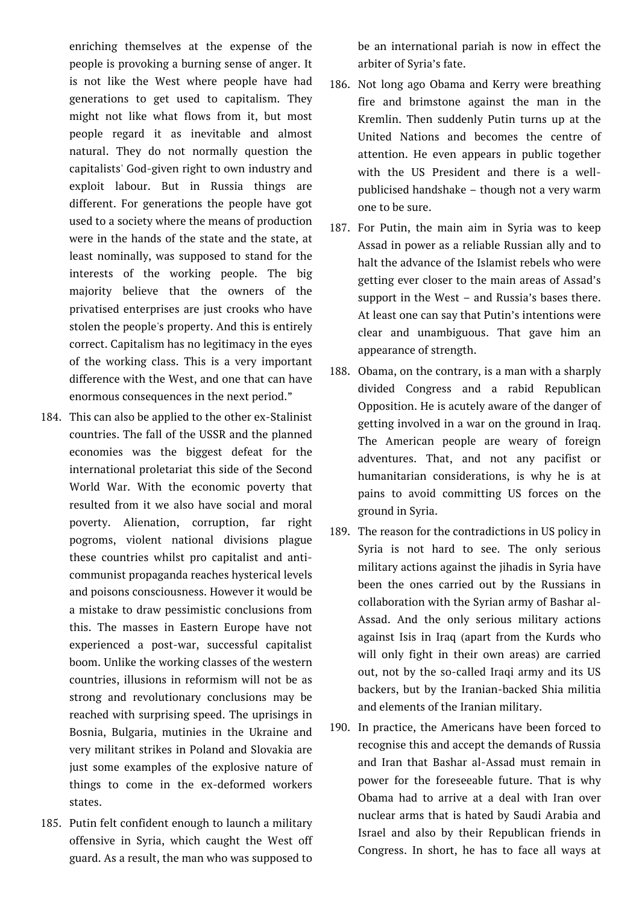enriching themselves at the expense of the people is provoking a burning sense of anger. It is not like the West where people have had generations to get used to capitalism. They might not like what flows from it, but most people regard it as inevitable and almost natural. They do not normally question the capitalists' God-given right to own industry and exploit labour. But in Russia things are different. For generations the people have got used to a society where the means of production were in the hands of the state and the state, at least nominally, was supposed to stand for the interests of the working people. The big majority believe that the owners of the privatised enterprises are just crooks who have stolen the people's property. And this is entirely correct. Capitalism has no legitimacy in the eyes of the working class. This is a very important difference with the West, and one that can have enormous consequences in the next period."

- 184. This can also be applied to the other ex-Stalinist countries. The fall of the USSR and the planned economies was the biggest defeat for the international proletariat this side of the Second World War. With the economic poverty that resulted from it we also have social and moral poverty. Alienation, corruption, far right pogroms, violent national divisions plague these countries whilst pro capitalist and anticommunist propaganda reaches hysterical levels and poisons consciousness. However it would be a mistake to draw pessimistic conclusions from this. The masses in Eastern Europe have not experienced a post-war, successful capitalist boom. Unlike the working classes of the western countries, illusions in reformism will not be as strong and revolutionary conclusions may be reached with surprising speed. The uprisings in Bosnia, Bulgaria, mutinies in the Ukraine and very militant strikes in Poland and Slovakia are just some examples of the explosive nature of things to come in the ex-deformed workers states.
- 185. Putin felt confident enough to launch a military offensive in Syria, which caught the West off guard. As a result, the man who was supposed to

be an international pariah is now in effect the arbiter of Syria's fate.

- 186. Not long ago Obama and Kerry were breathing fire and brimstone against the man in the Kremlin. Then suddenly Putin turns up at the United Nations and becomes the centre of attention. He even appears in public together with the US President and there is a wellpublicised handshake – though not a very warm one to be sure.
- 187. For Putin, the main aim in Syria was to keep Assad in power as a reliable Russian ally and to halt the advance of the Islamist rebels who were getting ever closer to the main areas of Assad's support in the West – and Russia's bases there. At least one can say that Putin's intentions were clear and unambiguous. That gave him an appearance of strength.
- 188. Obama, on the contrary, is a man with a sharply divided Congress and a rabid Republican Opposition. He is acutely aware of the danger of getting involved in a war on the ground in Iraq. The American people are weary of foreign adventures. That, and not any pacifist or humanitarian considerations, is why he is at pains to avoid committing US forces on the ground in Syria.
- 189. The reason for the contradictions in US policy in Syria is not hard to see. The only serious military actions against the jihadis in Syria have been the ones carried out by the Russians in collaboration with the Syrian army of Bashar al-Assad. And the only serious military actions against Isis in Iraq (apart from the Kurds who will only fight in their own areas) are carried out, not by the so-called Iraqi army and its US backers, but by the Iranian-backed Shia militia and elements of the Iranian military.
- 190. In practice, the Americans have been forced to recognise this and accept the demands of Russia and Iran that Bashar al-Assad must remain in power for the foreseeable future. That is why Obama had to arrive at a deal with Iran over nuclear arms that is hated by Saudi Arabia and Israel and also by their Republican friends in Congress. In short, he has to face all ways at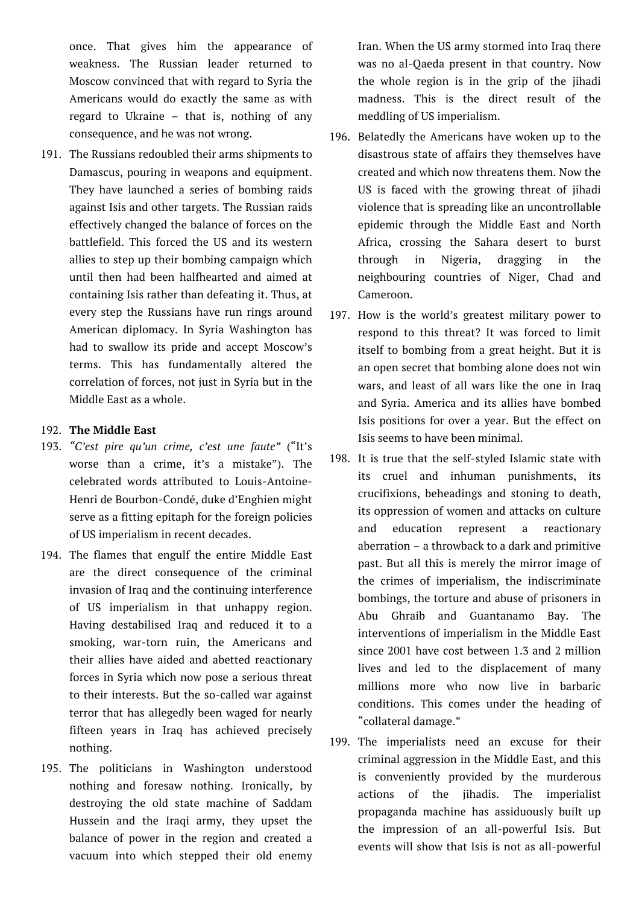once. That gives him the appearance of weakness. The Russian leader returned to Moscow convinced that with regard to Syria the Americans would do exactly the same as with regard to Ukraine – that is, nothing of any consequence, and he was not wrong.

191. The Russians redoubled their arms shipments to Damascus, pouring in weapons and equipment. They have launched a series of bombing raids against Isis and other targets. The Russian raids effectively changed the balance of forces on the battlefield. This forced the US and its western allies to step up their bombing campaign which until then had been halfhearted and aimed at containing Isis rather than defeating it. Thus, at every step the Russians have run rings around American diplomacy. In Syria Washington has had to swallow its pride and accept Moscow's terms. This has fundamentally altered the correlation of forces, not just in Syria but in the Middle East as a whole.

## 192. **The Middle East**

- 193. *"C'est pire qu'un crime, c'est une faute"* ("It's worse than a crime, it's a mistake"). The celebrated words attributed to Louis-Antoine-Henri de Bourbon-Condé, duke d'Enghien might serve as a fitting epitaph for the foreign policies of US imperialism in recent decades.
- 194. The flames that engulf the entire Middle East are the direct consequence of the criminal invasion of Iraq and the continuing interference of US imperialism in that unhappy region. Having destabilised Iraq and reduced it to a smoking, war-torn ruin, the Americans and their allies have aided and abetted reactionary forces in Syria which now pose a serious threat to their interests. But the so-called war against terror that has allegedly been waged for nearly fifteen years in Iraq has achieved precisely nothing.
- 195. The politicians in Washington understood nothing and foresaw nothing. Ironically, by destroying the old state machine of Saddam Hussein and the Iraqi army, they upset the balance of power in the region and created a vacuum into which stepped their old enemy

Iran. When the US army stormed into Iraq there was no al-Qaeda present in that country. Now the whole region is in the grip of the jihadi madness. This is the direct result of the meddling of US imperialism.

- 196. Belatedly the Americans have woken up to the disastrous state of affairs they themselves have created and which now threatens them. Now the US is faced with the growing threat of jihadi violence that is spreading like an uncontrollable epidemic through the Middle East and North Africa, crossing the Sahara desert to burst through in Nigeria, dragging in the neighbouring countries of Niger, Chad and Cameroon.
- 197. How is the world's greatest military power to respond to this threat? It was forced to limit itself to bombing from a great height. But it is an open secret that bombing alone does not win wars, and least of all wars like the one in Iraq and Syria. America and its allies have bombed Isis positions for over a year. But the effect on Isis seems to have been minimal.
- 198. It is true that the self-styled Islamic state with its cruel and inhuman punishments, its crucifixions, beheadings and stoning to death, its oppression of women and attacks on culture and education represent a reactionary aberration – a throwback to a dark and primitive past. But all this is merely the mirror image of the crimes of imperialism, the indiscriminate bombings, the torture and abuse of prisoners in Abu Ghraib and Guantanamo Bay. The interventions of imperialism in the Middle East since 2001 have cost between 1.3 and 2 million lives and led to the displacement of many millions more who now live in barbaric conditions. This comes under the heading of "collateral damage."
- 199. The imperialists need an excuse for their criminal aggression in the Middle East, and this is conveniently provided by the murderous actions of the jihadis. The imperialist propaganda machine has assiduously built up the impression of an all-powerful Isis. But events will show that Isis is not as all-powerful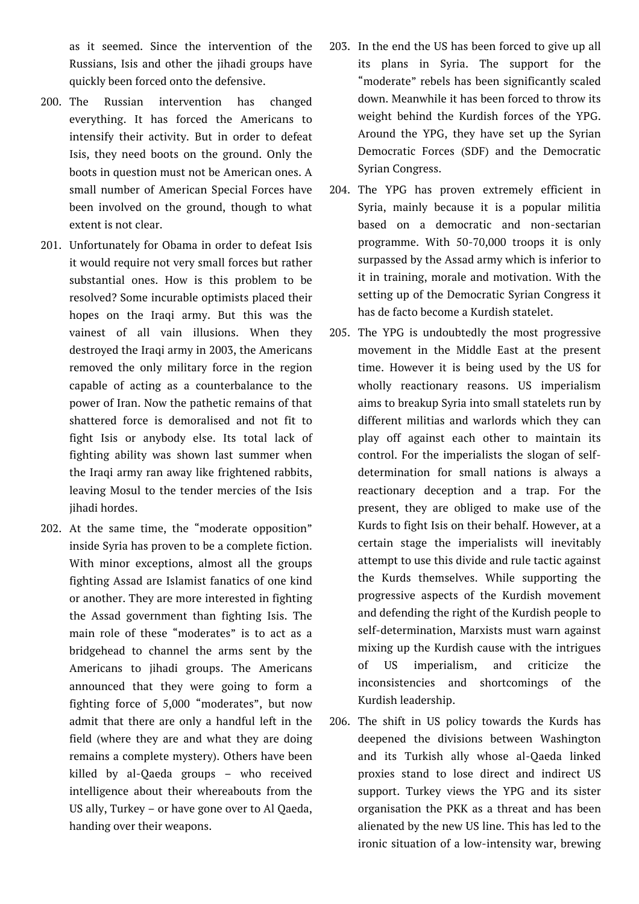as it seemed. Since the intervention of the Russians, Isis and other the jihadi groups have quickly been forced onto the defensive.

- 200. The Russian intervention has changed everything. It has forced the Americans to intensify their activity. But in order to defeat Isis, they need boots on the ground. Only the boots in question must not be American ones. A small number of American Special Forces have been involved on the ground, though to what extent is not clear.
- 201. Unfortunately for Obama in order to defeat Isis it would require not very small forces but rather substantial ones. How is this problem to be resolved? Some incurable optimists placed their hopes on the Iraqi army. But this was the vainest of all vain illusions. When they destroyed the Iraqi army in 2003, the Americans removed the only military force in the region capable of acting as a counterbalance to the power of Iran. Now the pathetic remains of that shattered force is demoralised and not fit to fight Isis or anybody else. Its total lack of fighting ability was shown last summer when the Iraqi army ran away like frightened rabbits, leaving Mosul to the tender mercies of the Isis jihadi hordes.
- 202. At the same time, the "moderate opposition" inside Syria has proven to be a complete fiction. With minor exceptions, almost all the groups fighting Assad are Islamist fanatics of one kind or another. They are more interested in fighting the Assad government than fighting Isis. The main role of these "moderates" is to act as a bridgehead to channel the arms sent by the Americans to jihadi groups. The Americans announced that they were going to form a fighting force of 5,000 "moderates", but now admit that there are only a handful left in the field (where they are and what they are doing remains a complete mystery). Others have been killed by al-Qaeda groups – who received intelligence about their whereabouts from the US ally, Turkey – or have gone over to Al Qaeda, handing over their weapons.
- 203. In the end the US has been forced to give up all its plans in Syria. The support for the "moderate" rebels has been significantly scaled down. Meanwhile it has been forced to throw its weight behind the Kurdish forces of the YPG. Around the YPG, they have set up the Syrian Democratic Forces (SDF) and the Democratic Syrian Congress.
- 204. The YPG has proven extremely efficient in Syria, mainly because it is a popular militia based on a democratic and non-sectarian programme. With 50-70,000 troops it is only surpassed by the Assad army which is inferior to it in training, morale and motivation. With the setting up of the Democratic Syrian Congress it has de facto become a Kurdish statelet.
- 205. The YPG is undoubtedly the most progressive movement in the Middle East at the present time. However it is being used by the US for wholly reactionary reasons. US imperialism aims to breakup Syria into small statelets run by different militias and warlords which they can play off against each other to maintain its control. For the imperialists the slogan of selfdetermination for small nations is always a reactionary deception and a trap. For the present, they are obliged to make use of the Kurds to fight Isis on their behalf. However, at a certain stage the imperialists will inevitably attempt to use this divide and rule tactic against the Kurds themselves. While supporting the progressive aspects of the Kurdish movement and defending the right of the Kurdish people to self-determination, Marxists must warn against mixing up the Kurdish cause with the intrigues of US imperialism, and criticize the inconsistencies and shortcomings of the Kurdish leadership.
- 206. The shift in US policy towards the Kurds has deepened the divisions between Washington and its Turkish ally whose al-Qaeda linked proxies stand to lose direct and indirect US support. Turkey views the YPG and its sister organisation the PKK as a threat and has been alienated by the new US line. This has led to the ironic situation of a low-intensity war, brewing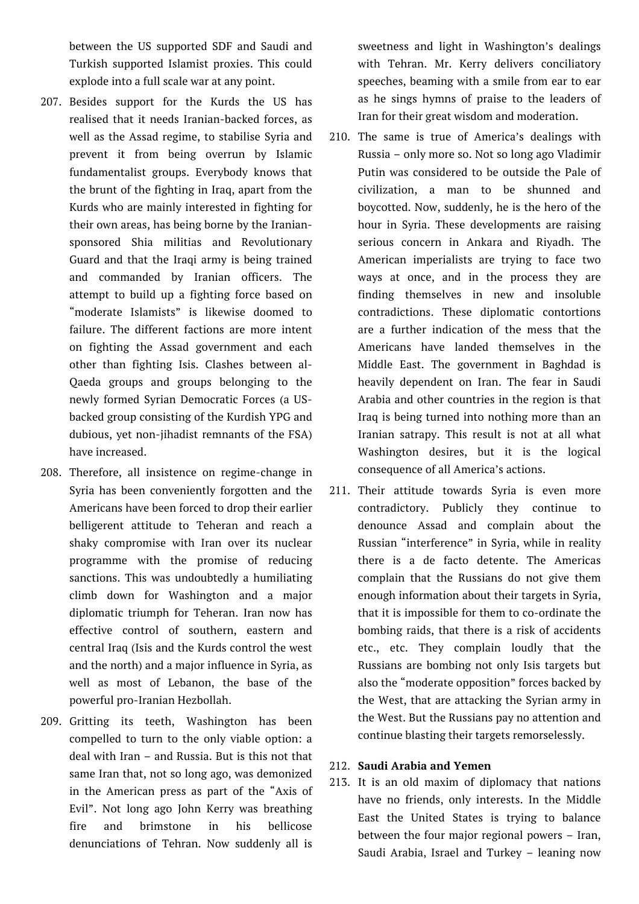between the US supported SDF and Saudi and Turkish supported Islamist proxies. This could explode into a full scale war at any point.

- 207. Besides support for the Kurds the US has realised that it needs Iranian-backed forces, as well as the Assad regime, to stabilise Syria and prevent it from being overrun by Islamic fundamentalist groups. Everybody knows that the brunt of the fighting in Iraq, apart from the Kurds who are mainly interested in fighting for their own areas, has being borne by the Iraniansponsored Shia militias and Revolutionary Guard and that the Iraqi army is being trained and commanded by Iranian officers. The attempt to build up a fighting force based on "moderate Islamists" is likewise doomed to failure. The different factions are more intent on fighting the Assad government and each other than fighting Isis. Clashes between al-Qaeda groups and groups belonging to the newly formed Syrian Democratic Forces (a USbacked group consisting of the Kurdish YPG and dubious, yet non-jihadist remnants of the FSA) have increased.
- 208. Therefore, all insistence on regime-change in Syria has been conveniently forgotten and the Americans have been forced to drop their earlier belligerent attitude to Teheran and reach a shaky compromise with Iran over its nuclear programme with the promise of reducing sanctions. This was undoubtedly a humiliating climb down for Washington and a major diplomatic triumph for Teheran. Iran now has effective control of southern, eastern and central Iraq (Isis and the Kurds control the west and the north) and a major influence in Syria, as well as most of Lebanon, the base of the powerful pro-Iranian Hezbollah.
- 209. Gritting its teeth, Washington has been compelled to turn to the only viable option: a deal with Iran – and Russia. But is this not that same Iran that, not so long ago, was demonized in the American press as part of the "Axis of Evil". Not long ago John Kerry was breathing fire and brimstone in his bellicose denunciations of Tehran. Now suddenly all is

sweetness and light in Washington's dealings with Tehran. Mr. Kerry delivers conciliatory speeches, beaming with a smile from ear to ear as he sings hymns of praise to the leaders of Iran for their great wisdom and moderation.

- 210. The same is true of America's dealings with Russia – only more so. Not so long ago Vladimir Putin was considered to be outside the Pale of civilization, a man to be shunned and boycotted. Now, suddenly, he is the hero of the hour in Syria. These developments are raising serious concern in Ankara and Riyadh. The American imperialists are trying to face two ways at once, and in the process they are finding themselves in new and insoluble contradictions. These diplomatic contortions are a further indication of the mess that the Americans have landed themselves in the Middle East. The government in Baghdad is heavily dependent on Iran. The fear in Saudi Arabia and other countries in the region is that Iraq is being turned into nothing more than an Iranian satrapy. This result is not at all what Washington desires, but it is the logical consequence of all America's actions.
- 211. Their attitude towards Syria is even more contradictory. Publicly they continue to denounce Assad and complain about the Russian "interference" in Syria, while in reality there is a de facto detente. The Americas complain that the Russians do not give them enough information about their targets in Syria, that it is impossible for them to co-ordinate the bombing raids, that there is a risk of accidents etc., etc. They complain loudly that the Russians are bombing not only Isis targets but also the "moderate opposition" forces backed by the West, that are attacking the Syrian army in the West. But the Russians pay no attention and continue blasting their targets remorselessly.

#### 212. **Saudi Arabia and Yemen**

213. It is an old maxim of diplomacy that nations have no friends, only interests. In the Middle East the United States is trying to balance between the four major regional powers – Iran, Saudi Arabia, Israel and Turkey – leaning now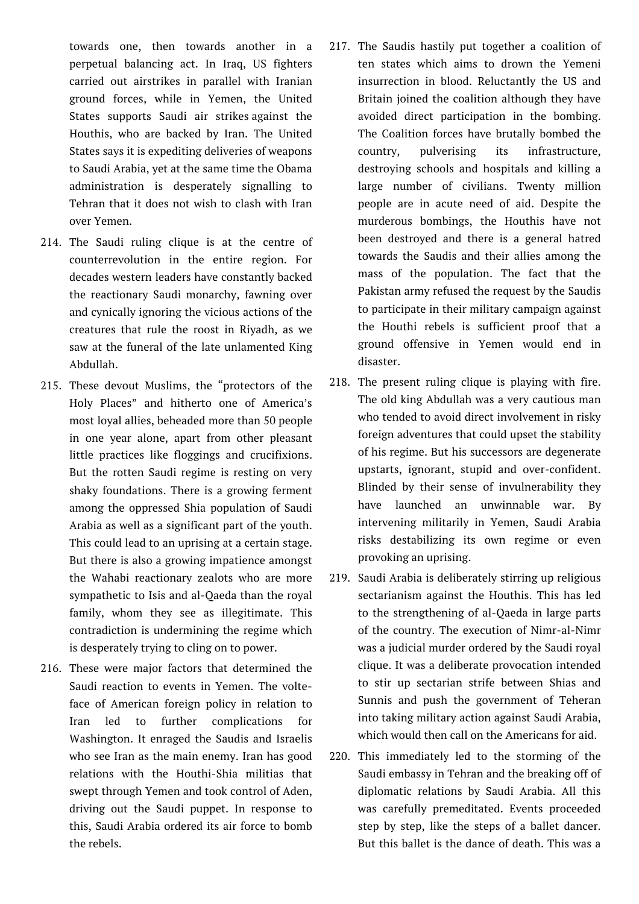towards one, then towards another in a perpetual balancing act. In Iraq, US fighters carried out airstrikes in parallel with Iranian ground forces, while in Yemen, the United States supports Saudi air strikes against the Houthis, who are backed by Iran. The United States says it is expediting deliveries of weapons to Saudi Arabia, yet at the same time the Obama administration is desperately signalling to Tehran that it does not wish to clash with Iran over Yemen.

- 214. The Saudi ruling clique is at the centre of counterrevolution in the entire region. For decades western leaders have constantly backed the reactionary Saudi monarchy, fawning over and cynically ignoring the vicious actions of the creatures that rule the roost in Riyadh, as we saw at the funeral of the late unlamented King Abdullah.
- 215. These devout Muslims, the "protectors of the Holy Places" and hitherto one of America's most loyal allies, beheaded more than 50 people in one year alone, apart from other pleasant little practices like floggings and crucifixions. But the rotten Saudi regime is resting on very shaky foundations. There is a growing ferment among the oppressed Shia population of Saudi Arabia as well as a significant part of the youth. This could lead to an uprising at a certain stage. But there is also a growing impatience amongst the Wahabi reactionary zealots who are more sympathetic to Isis and al-Qaeda than the royal family, whom they see as illegitimate. This contradiction is undermining the regime which is desperately trying to cling on to power.
- 216. These were major factors that determined the Saudi reaction to events in Yemen. The volteface of American foreign policy in relation to Iran led to further complications for Washington. It enraged the Saudis and Israelis who see Iran as the main enemy. Iran has good relations with the Houthi-Shia militias that swept through Yemen and took control of Aden, driving out the Saudi puppet. In response to this, Saudi Arabia ordered its air force to bomb the rebels.
- 217. The Saudis hastily put together a coalition of ten states which aims to drown the Yemeni insurrection in blood. Reluctantly the US and Britain joined the coalition although they have avoided direct participation in the bombing. The Coalition forces have brutally bombed the country, pulverising its infrastructure, destroying schools and hospitals and killing a large number of civilians. Twenty million people are in acute need of aid. Despite the murderous bombings, the Houthis have not been destroyed and there is a general hatred towards the Saudis and their allies among the mass of the population. The fact that the Pakistan army refused the request by the Saudis to participate in their military campaign against the Houthi rebels is sufficient proof that a ground offensive in Yemen would end in disaster.
- 218. The present ruling clique is playing with fire. The old king Abdullah was a very cautious man who tended to avoid direct involvement in risky foreign adventures that could upset the stability of his regime. But his successors are degenerate upstarts, ignorant, stupid and over-confident. Blinded by their sense of invulnerability they have launched an unwinnable war. By intervening militarily in Yemen, Saudi Arabia risks destabilizing its own regime or even provoking an uprising.
- 219. Saudi Arabia is deliberately stirring up religious sectarianism against the Houthis. This has led to the strengthening of al-Qaeda in large parts of the country. The execution of Nimr-al-Nimr was a judicial murder ordered by the Saudi royal clique. It was a deliberate provocation intended to stir up sectarian strife between Shias and Sunnis and push the government of Teheran into taking military action against Saudi Arabia, which would then call on the Americans for aid.
- 220. This immediately led to the storming of the Saudi embassy in Tehran and the breaking off of diplomatic relations by Saudi Arabia. All this was carefully premeditated. Events proceeded step by step, like the steps of a ballet dancer. But this ballet is the dance of death. This was a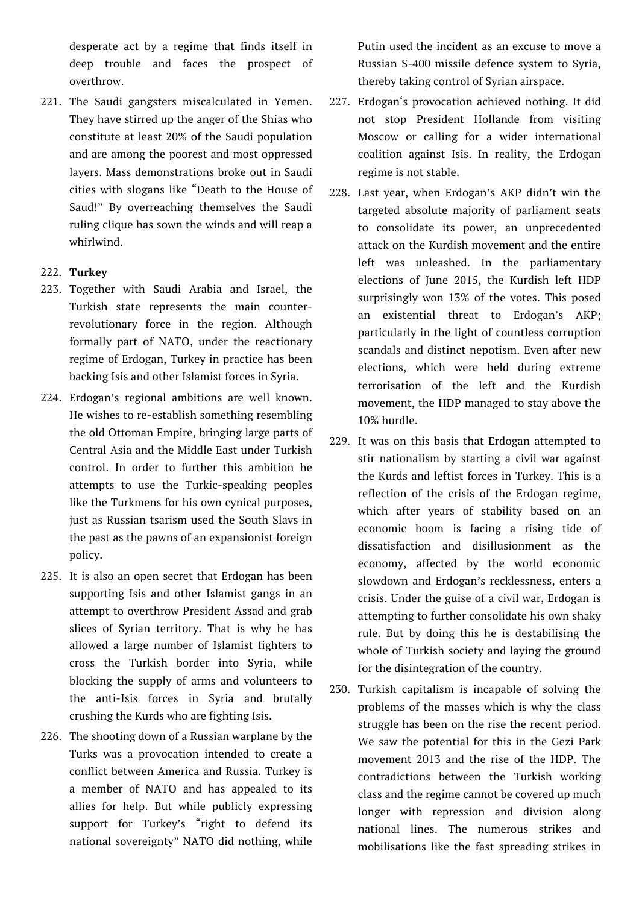desperate act by a regime that finds itself in deep trouble and faces the prospect of overthrow.

221. The Saudi gangsters miscalculated in Yemen. They have stirred up the anger of the Shias who constitute at least 20% of the Saudi population and are among the poorest and most oppressed layers. Mass demonstrations broke out in Saudi cities with slogans like "Death to the House of Saud!" By overreaching themselves the Saudi ruling clique has sown the winds and will reap a whirlwind.

# 222. **Turkey**

- 223. Together with Saudi Arabia and Israel, the Turkish state represents the main counterrevolutionary force in the region. Although formally part of NATO, under the reactionary regime of Erdogan, Turkey in practice has been backing Isis and other Islamist forces in Syria.
- 224. Erdogan's regional ambitions are well known. He wishes to re-establish something resembling the old Ottoman Empire, bringing large parts of Central Asia and the Middle East under Turkish control. In order to further this ambition he attempts to use the Turkic-speaking peoples like the Turkmens for his own cynical purposes, just as Russian tsarism used the South Slavs in the past as the pawns of an expansionist foreign policy.
- 225. It is also an open secret that Erdogan has been supporting Isis and other Islamist gangs in an attempt to overthrow President Assad and grab slices of Syrian territory. That is why he has allowed a large number of Islamist fighters to cross the Turkish border into Syria, while blocking the supply of arms and volunteers to the anti-Isis forces in Syria and brutally crushing the Kurds who are fighting Isis.
- 226. The shooting down of a Russian warplane by the Turks was a provocation intended to create a conflict between America and Russia. Turkey is a member of NATO and has appealed to its allies for help. But while publicly expressing support for Turkey's "right to defend its national sovereignty" NATO did nothing, while

Putin used the incident as an excuse to move a Russian S-400 missile defence system to Syria, thereby taking control of Syrian airspace.

- 227. Erdogan's provocation achieved nothing. It did not stop President Hollande from visiting Moscow or calling for a wider international coalition against Isis. In reality, the Erdogan regime is not stable.
- 228. Last year, when Erdogan's AKP didn't win the targeted absolute majority of parliament seats to consolidate its power, an unprecedented attack on the Kurdish movement and the entire left was unleashed. In the parliamentary elections of June 2015, the Kurdish left HDP surprisingly won 13% of the votes. This posed an existential threat to Erdogan's AKP; particularly in the light of countless corruption scandals and distinct nepotism. Even after new elections, which were held during extreme terrorisation of the left and the Kurdish movement, the HDP managed to stay above the 10% hurdle.
- 229. It was on this basis that Erdogan attempted to stir nationalism by starting a civil war against the Kurds and leftist forces in Turkey. This is a reflection of the crisis of the Erdogan regime, which after years of stability based on an economic boom is facing a rising tide of dissatisfaction and disillusionment as the economy, affected by the world economic slowdown and Erdogan's recklessness, enters a crisis. Under the guise of a civil war, Erdogan is attempting to further consolidate his own shaky rule. But by doing this he is destabilising the whole of Turkish society and laying the ground for the disintegration of the country.
- 230. Turkish capitalism is incapable of solving the problems of the masses which is why the class struggle has been on the rise the recent period. We saw the potential for this in the Gezi Park movement 2013 and the rise of the HDP. The contradictions between the Turkish working class and the regime cannot be covered up much longer with repression and division along national lines. The numerous strikes and mobilisations like the fast spreading strikes in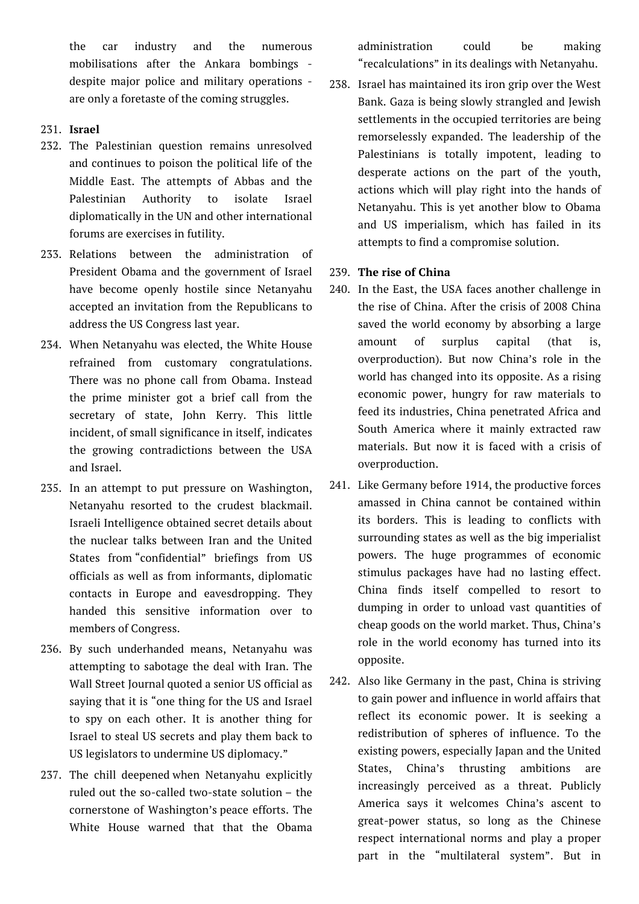the car industry and the numerous mobilisations after the Ankara bombings despite major police and military operations are only a foretaste of the coming struggles.

- 231. **Israel**
- 232. The Palestinian question remains unresolved and continues to poison the political life of the Middle East. The attempts of Abbas and the Palestinian Authority to isolate Israel diplomatically in the UN and other international forums are exercises in futility.
- 233. Relations between the administration of President Obama and the government of Israel have become openly hostile since Netanyahu accepted an invitation from the Republicans to address the US Congress last year.
- 234. When Netanyahu was elected, the White House refrained from customary congratulations. There was no phone call from Obama. Instead the prime minister got a brief call from the secretary of state, John Kerry. This little incident, of small significance in itself, indicates the growing contradictions between the USA and Israel.
- 235. In an attempt to put pressure on Washington, Netanyahu resorted to the crudest blackmail. Israeli Intelligence obtained secret details about the nuclear talks between Iran and the United States from "confidential" briefings from US officials as well as from informants, diplomatic contacts in Europe and eavesdropping. They handed this sensitive information over to members of Congress.
- 236. By such underhanded means, Netanyahu was attempting to sabotage the deal with Iran. The Wall Street Journal quoted a senior US official as saying that it is "one thing for the US and Israel to spy on each other. It is another thing for Israel to steal US secrets and play them back to US legislators to undermine US diplomacy."
- 237. The chill deepened when Netanyahu explicitly ruled out the so-called two-state solution – the cornerstone of Washington's peace efforts. The White House warned that that the Obama

administration could be making "recalculations" in its dealings with Netanyahu.

- 238. Israel has maintained its iron grip over the West Bank. Gaza is being slowly strangled and Jewish settlements in the occupied territories are being remorselessly expanded. The leadership of the Palestinians is totally impotent, leading to desperate actions on the part of the youth, actions which will play right into the hands of Netanyahu. This is yet another blow to Obama and US imperialism, which has failed in its attempts to find a compromise solution.
- 239. **The rise of China**
- 240. In the East, the USA faces another challenge in the rise of China. After the crisis of 2008 China saved the world economy by absorbing a large amount of surplus capital (that is, overproduction). But now China's role in the world has changed into its opposite. As a rising economic power, hungry for raw materials to feed its industries, China penetrated Africa and South America where it mainly extracted raw materials. But now it is faced with a crisis of overproduction.
- 241. Like Germany before 1914, the productive forces amassed in China cannot be contained within its borders. This is leading to conflicts with surrounding states as well as the big imperialist powers. The huge programmes of economic stimulus packages have had no lasting effect. China finds itself compelled to resort to dumping in order to unload vast quantities of cheap goods on the world market. Thus, China's role in the world economy has turned into its opposite.
- 242. Also like Germany in the past, China is striving to gain power and influence in world affairs that reflect its economic power. It is seeking a redistribution of spheres of influence. To the existing powers, especially Japan and the United States, China's thrusting ambitions are increasingly perceived as a threat. Publicly America says it welcomes China's ascent to great-power status, so long as the Chinese respect international norms and play a proper part in the "multilateral system". But in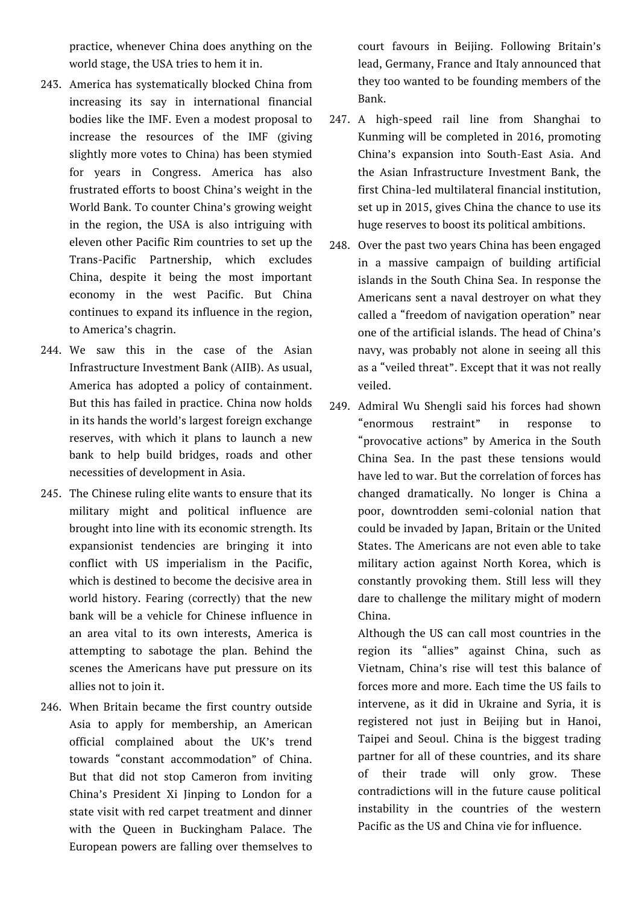practice, whenever China does anything on the world stage, the USA tries to hem it in.

- 243. America has systematically blocked China from increasing its say in international financial bodies like the IMF. Even a modest proposal to increase the resources of the IMF (giving slightly more votes to China) has been stymied for years in Congress. America has also frustrated efforts to boost China's weight in the World Bank. To counter China's growing weight in the region, the USA is also intriguing with eleven other Pacific Rim countries to set up the Trans-Pacific Partnership, which excludes China, despite it being the most important economy in the west Pacific. But China continues to expand its influence in the region, to America's chagrin.
- 244. We saw this in the case of the Asian Infrastructure Investment Bank (AIIB). As usual, America has adopted a policy of containment. But this has failed in practice. China now holds in its hands the world's largest foreign exchange reserves, with which it plans to launch a new bank to help build bridges, roads and other necessities of development in Asia.
- 245. The Chinese ruling elite wants to ensure that its military might and political influence are brought into line with its economic strength. Its expansionist tendencies are bringing it into conflict with US imperialism in the Pacific, which is destined to become the decisive area in world history. Fearing (correctly) that the new bank will be a vehicle for Chinese influence in an area vital to its own interests, America is attempting to sabotage the plan. Behind the scenes the Americans have put pressure on its allies not to join it.
- 246. When Britain became the first country outside Asia to apply for membership, an American official complained about the UK's trend towards "constant accommodation" of China. But that did not stop Cameron from inviting China's President Xi Jinping to London for a state visit with red carpet treatment and dinner with the Queen in Buckingham Palace. The European powers are falling over themselves to

court favours in Beijing. Following Britain's lead, Germany, France and Italy announced that they too wanted to be founding members of the Bank.

- 247. A high-speed rail line from Shanghai to Kunming will be completed in 2016, promoting China's expansion into South-East Asia. And the Asian Infrastructure Investment Bank, the first China-led multilateral financial institution, set up in 2015, gives China the chance to use its huge reserves to boost its political ambitions.
- 248. Over the past two years China has been engaged in a massive campaign of building artificial islands in the South China Sea. In response the Americans sent a naval destroyer on what they called a "freedom of navigation operation" near one of the artificial islands. The head of China's navy, was probably not alone in seeing all this as a "veiled threat". Except that it was not really veiled.
- 249. Admiral Wu Shengli said his forces had shown "enormous restraint" in response to "provocative actions" by America in the South China Sea. In the past these tensions would have led to war. But the correlation of forces has changed dramatically. No longer is China a poor, downtrodden semi-colonial nation that could be invaded by Japan, Britain or the United States. The Americans are not even able to take military action against North Korea, which is constantly provoking them. Still less will they dare to challenge the military might of modern China.
	- Although the US can call most countries in the region its "allies" against China, such as Vietnam, China's rise will test this balance of forces more and more. Each time the US fails to intervene, as it did in Ukraine and Syria, it is registered not just in Beijing but in Hanoi, Taipei and Seoul. China is the biggest trading partner for all of these countries, and its share of their trade will only grow. These contradictions will in the future cause political instability in the countries of the western Pacific as the US and China vie for influence.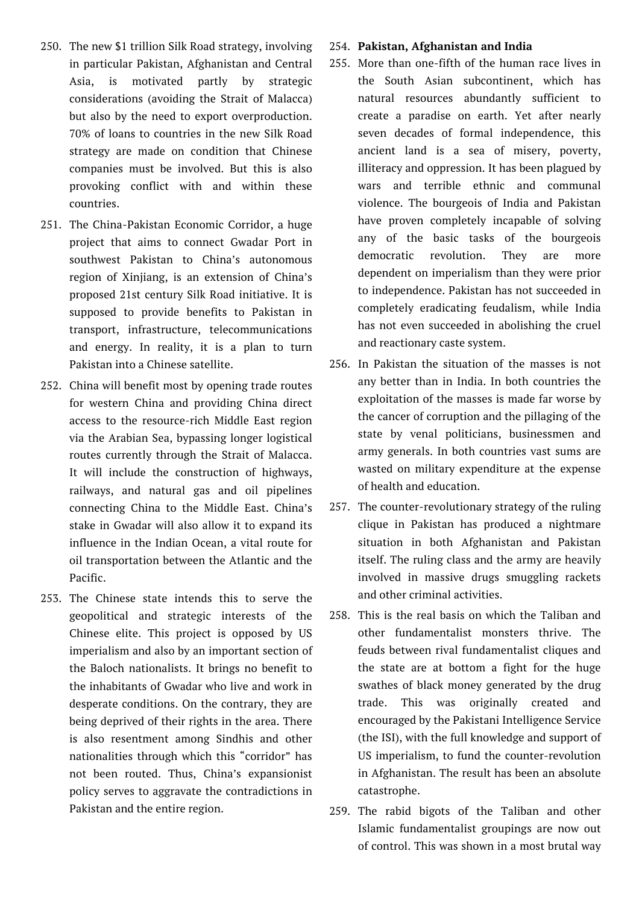- 250. The new \$1 trillion Silk Road strategy, involving in particular Pakistan, Afghanistan and Central Asia, is motivated partly by strategic considerations (avoiding the Strait of Malacca) but also by the need to export overproduction. 70% of loans to countries in the new Silk Road strategy are made on condition that Chinese companies must be involved. But this is also provoking conflict with and within these countries.
- 251. The China-Pakistan Economic Corridor, a huge project that aims to connect Gwadar Port in southwest Pakistan to China's autonomous region of Xinjiang, is an extension of China's proposed 21st century Silk Road initiative. It is supposed to provide benefits to Pakistan in transport, infrastructure, telecommunications and energy. In reality, it is a plan to turn Pakistan into a Chinese satellite.
- 252. China will benefit most by opening trade routes for western China and providing China direct access to the resource-rich Middle East region via the Arabian Sea, bypassing longer logistical routes currently through the Strait of Malacca. It will include the construction of highways, railways, and natural gas and oil pipelines connecting China to the Middle East. China's stake in Gwadar will also allow it to expand its influence in the Indian Ocean, a vital route for oil transportation between the Atlantic and the Pacific.
- 253. The Chinese state intends this to serve the geopolitical and strategic interests of the Chinese elite. This project is opposed by US imperialism and also by an important section of the Baloch nationalists. It brings no benefit to the inhabitants of Gwadar who live and work in desperate conditions. On the contrary, they are being deprived of their rights in the area. There is also resentment among Sindhis and other nationalities through which this "corridor" has not been routed. Thus, China's expansionist policy serves to aggravate the contradictions in Pakistan and the entire region.

#### 254. **Pakistan, Afghanistan and India**

- 255. More than one-fifth of the human race lives in the South Asian subcontinent, which has natural resources abundantly sufficient to create a paradise on earth. Yet after nearly seven decades of formal independence, this ancient land is a sea of misery, poverty, illiteracy and oppression. It has been plagued by wars and terrible ethnic and communal violence. The bourgeois of India and Pakistan have proven completely incapable of solving any of the basic tasks of the bourgeois democratic revolution. They are more dependent on imperialism than they were prior to independence. Pakistan has not succeeded in completely eradicating feudalism, while India has not even succeeded in abolishing the cruel and reactionary caste system.
- 256. In Pakistan the situation of the masses is not any better than in India. In both countries the exploitation of the masses is made far worse by the cancer of corruption and the pillaging of the state by venal politicians, businessmen and army generals. In both countries vast sums are wasted on military expenditure at the expense of health and education.
- 257. The counter-revolutionary strategy of the ruling clique in Pakistan has produced a nightmare situation in both Afghanistan and Pakistan itself. The ruling class and the army are heavily involved in massive drugs smuggling rackets and other criminal activities.
- 258. This is the real basis on which the Taliban and other fundamentalist monsters thrive. The feuds between rival fundamentalist cliques and the state are at bottom a fight for the huge swathes of black money generated by the drug trade. This was originally created and encouraged by the Pakistani Intelligence Service (the ISI), with the full knowledge and support of US imperialism, to fund the counter-revolution in Afghanistan. The result has been an absolute catastrophe.
- 259. The rabid bigots of the Taliban and other Islamic fundamentalist groupings are now out of control. This was shown in a most brutal way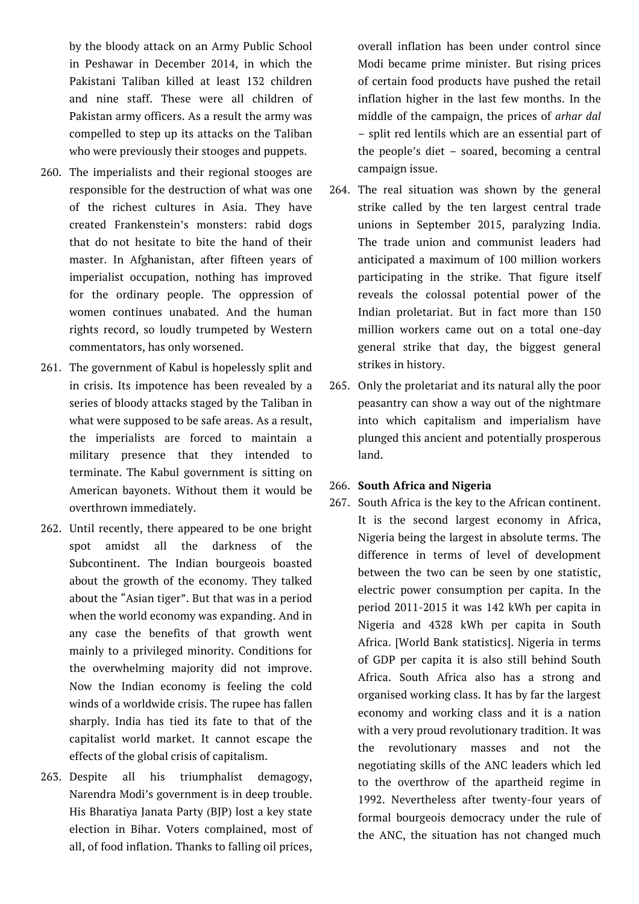by the bloody attack on an Army Public School in Peshawar in December 2014, in which the Pakistani Taliban killed at least 132 children and nine staff. These were all children of Pakistan army officers. As a result the army was compelled to step up its attacks on the Taliban who were previously their stooges and puppets.

- 260. The imperialists and their regional stooges are responsible for the destruction of what was one of the richest cultures in Asia. They have created Frankenstein's monsters: rabid dogs that do not hesitate to bite the hand of their master. In Afghanistan, after fifteen years of imperialist occupation, nothing has improved for the ordinary people. The oppression of women continues unabated. And the human rights record, so loudly trumpeted by Western commentators, has only worsened.
- 261. The government of Kabul is hopelessly split and in crisis. Its impotence has been revealed by a series of bloody attacks staged by the Taliban in what were supposed to be safe areas. As a result, the imperialists are forced to maintain a military presence that they intended to terminate. The Kabul government is sitting on American bayonets. Without them it would be overthrown immediately.
- 262. Until recently, there appeared to be one bright spot amidst all the darkness of the Subcontinent. The Indian bourgeois boasted about the growth of the economy. They talked about the "Asian tiger". But that was in a period when the world economy was expanding. And in any case the benefits of that growth went mainly to a privileged minority. Conditions for the overwhelming majority did not improve. Now the Indian economy is feeling the cold winds of a worldwide crisis. The rupee has fallen sharply. India has tied its fate to that of the capitalist world market. It cannot escape the effects of the global crisis of capitalism.
- 263. Despite all his triumphalist demagogy, Narendra Modi's government is in deep trouble. His Bharatiya Janata Party (BJP) lost a key state election in Bihar. Voters complained, most of all, of food inflation. Thanks to falling oil prices,

overall inflation has been under control since Modi became prime minister. But rising prices of certain food products have pushed the retail inflation higher in the last few months. In the middle of the campaign, the prices of *arhar dal* – split red lentils which are an essential part of the people's diet – soared, becoming a central campaign issue.

- 264. The real situation was shown by the general strike called by the ten largest central trade unions in September 2015, paralyzing India. The trade union and communist leaders had anticipated a maximum of 100 million workers participating in the strike. That figure itself reveals the colossal potential power of the Indian proletariat. But in fact more than 150 million workers came out on a total one-day general strike that day, the biggest general strikes in history.
- 265. Only the proletariat and its natural ally the poor peasantry can show a way out of the nightmare into which capitalism and imperialism have plunged this ancient and potentially prosperous land.

## 266. **South Africa and Nigeria**

267. South Africa is the key to the African continent. It is the second largest economy in Africa, Nigeria being the largest in absolute terms. The difference in terms of level of development between the two can be seen by one statistic, electric power consumption per capita. In the period 2011-2015 it was 142 kWh per capita in Nigeria and 4328 kWh per capita in South Africa. [World Bank statistics]. Nigeria in terms of GDP per capita it is also still behind South Africa. South Africa also has a strong and organised working class. It has by far the largest economy and working class and it is a nation with a very proud revolutionary tradition. It was the revolutionary masses and not the negotiating skills of the ANC leaders which led to the overthrow of the apartheid regime in 1992. Nevertheless after twenty-four years of formal bourgeois democracy under the rule of the ANC, the situation has not changed much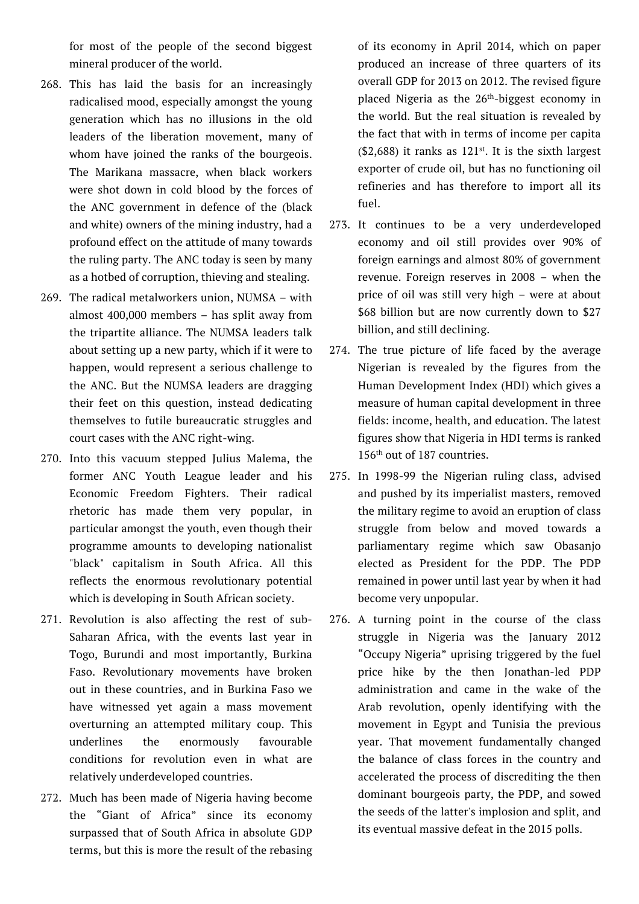for most of the people of the second biggest mineral producer of the world.

- 268. This has laid the basis for an increasingly radicalised mood, especially amongst the young generation which has no illusions in the old leaders of the liberation movement, many of whom have joined the ranks of the bourgeois. The Marikana massacre, when black workers were shot down in cold blood by the forces of the ANC government in defence of the (black and white) owners of the mining industry, had a profound effect on the attitude of many towards the ruling party. The ANC today is seen by many as a hotbed of corruption, thieving and stealing.
- 269. The radical metalworkers union, NUMSA with almost 400,000 members – has split away from the tripartite alliance. The NUMSA leaders talk about setting up a new party, which if it were to happen, would represent a serious challenge to the ANC. But the NUMSA leaders are dragging their feet on this question, instead dedicating themselves to futile bureaucratic struggles and court cases with the ANC right-wing.
- 270. Into this vacuum stepped Julius Malema, the former ANC Youth League leader and his Economic Freedom Fighters. Their radical rhetoric has made them very popular, in particular amongst the youth, even though their programme amounts to developing nationalist "black" capitalism in South Africa. All this reflects the enormous revolutionary potential which is developing in South African society.
- 271. Revolution is also affecting the rest of sub-Saharan Africa, with the events last year in Togo, Burundi and most importantly, Burkina Faso. Revolutionary movements have broken out in these countries, and in Burkina Faso we have witnessed yet again a mass movement overturning an attempted military coup. This underlines the enormously favourable conditions for revolution even in what are relatively underdeveloped countries.
- 272. Much has been made of Nigeria having become the "Giant of Africa" since its economy surpassed that of South Africa in absolute GDP terms, but this is more the result of the rebasing

of its economy in April 2014, which on paper produced an increase of three quarters of its overall GDP for 2013 on 2012. The revised figure placed Nigeria as the 26th-biggest economy in the world. But the real situation is revealed by the fact that with in terms of income per capita  $(2,688)$  it ranks as  $121<sup>st</sup>$ . It is the sixth largest exporter of crude oil, but has no functioning oil refineries and has therefore to import all its fuel.

- 273. It continues to be a very underdeveloped economy and oil still provides over 90% of foreign earnings and almost 80% of government revenue. Foreign reserves in 2008 – when the price of oil was still very high – were at about \$68 billion but are now currently down to \$27 billion, and still declining.
- 274. The true picture of life faced by the average Nigerian is revealed by the figures from the Human Development Index (HDI) which gives a measure of human capital development in three fields: income, health, and education. The latest figures show that Nigeria in HDI terms is ranked 156th out of 187 countries.
- 275. In 1998-99 the Nigerian ruling class, advised and pushed by its imperialist masters, removed the military regime to avoid an eruption of class struggle from below and moved towards a parliamentary regime which saw Obasanjo elected as President for the PDP. The PDP remained in power until last year by when it had become very unpopular.
- 276. A turning point in the course of the class struggle in Nigeria was the January 2012 "Occupy Nigeria" uprising triggered by the fuel price hike by the then Jonathan-led PDP administration and came in the wake of the Arab revolution, openly identifying with the movement in Egypt and Tunisia the previous year. That movement fundamentally changed the balance of class forces in the country and accelerated the process of discrediting the then dominant bourgeois party, the PDP, and sowed the seeds of the latter's implosion and split, and its eventual massive defeat in the 2015 polls.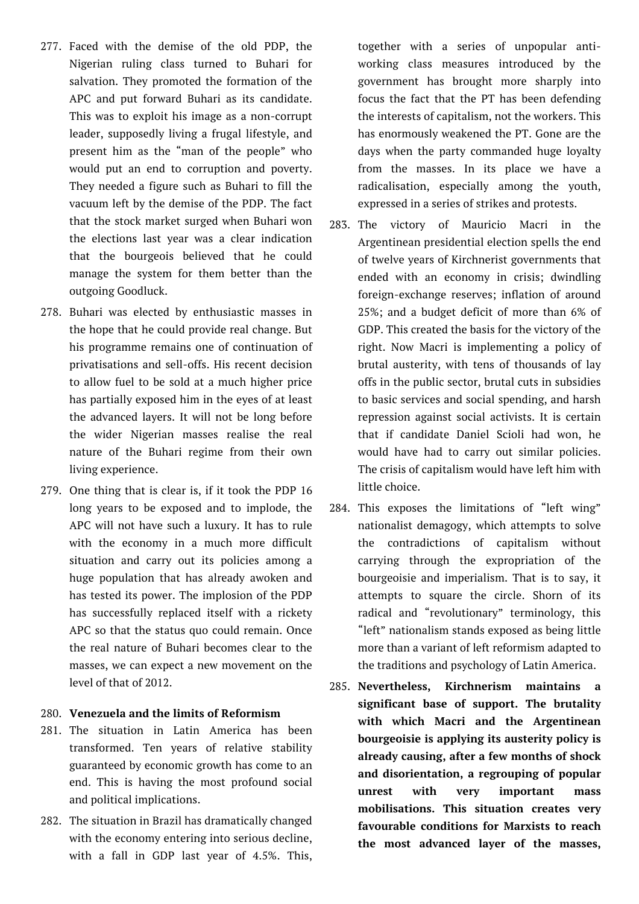- 277. Faced with the demise of the old PDP, the Nigerian ruling class turned to Buhari for salvation. They promoted the formation of the APC and put forward Buhari as its candidate. This was to exploit his image as a non-corrupt leader, supposedly living a frugal lifestyle, and present him as the "man of the people" who would put an end to corruption and poverty. They needed a figure such as Buhari to fill the vacuum left by the demise of the PDP. The fact that the stock market surged when Buhari won the elections last year was a clear indication that the bourgeois believed that he could manage the system for them better than the outgoing Goodluck.
- 278. Buhari was elected by enthusiastic masses in the hope that he could provide real change. But his programme remains one of continuation of privatisations and sell-offs. His recent decision to allow fuel to be sold at a much higher price has partially exposed him in the eyes of at least the advanced layers. It will not be long before the wider Nigerian masses realise the real nature of the Buhari regime from their own living experience.
- 279. One thing that is clear is, if it took the PDP 16 long years to be exposed and to implode, the APC will not have such a luxury. It has to rule with the economy in a much more difficult situation and carry out its policies among a huge population that has already awoken and has tested its power. The implosion of the PDP has successfully replaced itself with a rickety APC so that the status quo could remain. Once the real nature of Buhari becomes clear to the masses, we can expect a new movement on the level of that of 2012.

## 280. **Venezuela and the limits of Reformism**

- 281. The situation in Latin America has been transformed. Ten years of relative stability guaranteed by economic growth has come to an end. This is having the most profound social and political implications.
- 282. The situation in Brazil has dramatically changed with the economy entering into serious decline, with a fall in GDP last year of 4.5%. This,

together with a series of unpopular antiworking class measures introduced by the government has brought more sharply into focus the fact that the PT has been defending the interests of capitalism, not the workers. This has enormously weakened the PT. Gone are the days when the party commanded huge loyalty from the masses. In its place we have a radicalisation, especially among the youth, expressed in a series of strikes and protests.

- 283. The victory of Mauricio Macri in the Argentinean presidential election spells the end of twelve years of Kirchnerist governments that ended with an economy in crisis; dwindling foreign-exchange reserves; inflation of around 25%; and a budget deficit of more than 6% of GDP. This created the basis for the victory of the right. Now Macri is implementing a policy of brutal austerity, with tens of thousands of lay offs in the public sector, brutal cuts in subsidies to basic services and social spending, and harsh repression against social activists. It is certain that if candidate Daniel Scioli had won, he would have had to carry out similar policies. The crisis of capitalism would have left him with little choice.
- 284. This exposes the limitations of "left wing" nationalist demagogy, which attempts to solve the contradictions of capitalism without carrying through the expropriation of the bourgeoisie and imperialism. That is to say, it attempts to square the circle. Shorn of its radical and "revolutionary" terminology, this "left" nationalism stands exposed as being little more than a variant of left reformism adapted to the traditions and psychology of Latin America.
- 285. **Nevertheless, Kirchnerism maintains a significant base of support. The brutality with which Macri and the Argentinean bourgeoisie is applying its austerity policy is already causing, after a few months of shock and disorientation, a regrouping of popular unrest with very important mass mobilisations. This situation creates very favourable conditions for Marxists to reach the most advanced layer of the masses,**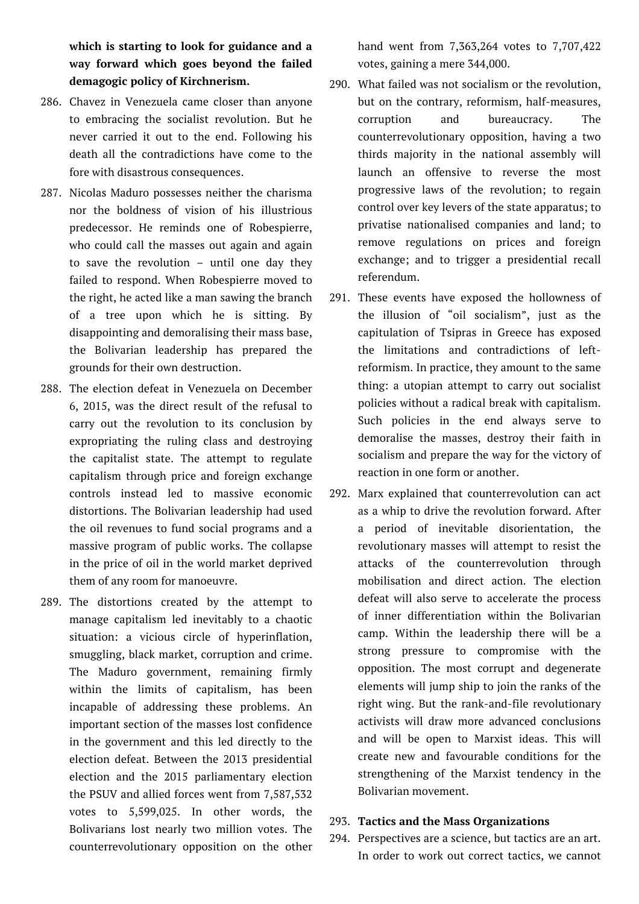**which is starting to look for guidance and a way forward which goes beyond the failed demagogic policy of Kirchnerism.**

- 286. Chavez in Venezuela came closer than anyone to embracing the socialist revolution. But he never carried it out to the end. Following his death all the contradictions have come to the fore with disastrous consequences.
- 287. Nicolas Maduro possesses neither the charisma nor the boldness of vision of his illustrious predecessor. He reminds one of Robespierre, who could call the masses out again and again to save the revolution – until one day they failed to respond. When Robespierre moved to the right, he acted like a man sawing the branch of a tree upon which he is sitting. By disappointing and demoralising their mass base, the Bolivarian leadership has prepared the grounds for their own destruction.
- 288. The election defeat in Venezuela on December 6, 2015, was the direct result of the refusal to carry out the revolution to its conclusion by expropriating the ruling class and destroying the capitalist state. The attempt to regulate capitalism through price and foreign exchange controls instead led to massive economic distortions. The Bolivarian leadership had used the oil revenues to fund social programs and a massive program of public works. The collapse in the price of oil in the world market deprived them of any room for manoeuvre.
- 289. The distortions created by the attempt to manage capitalism led inevitably to a chaotic situation: a vicious circle of hyperinflation, smuggling, black market, corruption and crime. The Maduro government, remaining firmly within the limits of capitalism, has been incapable of addressing these problems. An important section of the masses lost confidence in the government and this led directly to the election defeat. Between the 2013 presidential election and the 2015 parliamentary election the PSUV and allied forces went from 7,587,532 votes to 5,599,025. In other words, the Bolivarians lost nearly two million votes. The counterrevolutionary opposition on the other

hand went from 7,363,264 votes to 7,707,422 votes, gaining a mere 344,000.

- 290. What failed was not socialism or the revolution, but on the contrary, reformism, half-measures, corruption and bureaucracy. The counterrevolutionary opposition, having a two thirds majority in the national assembly will launch an offensive to reverse the most progressive laws of the revolution; to regain control over key levers of the state apparatus; to privatise nationalised companies and land; to remove regulations on prices and foreign exchange; and to trigger a presidential recall referendum.
- 291. These events have exposed the hollowness of the illusion of "oil socialism", just as the capitulation of Tsipras in Greece has exposed the limitations and contradictions of leftreformism. In practice, they amount to the same thing: a utopian attempt to carry out socialist policies without a radical break with capitalism. Such policies in the end always serve to demoralise the masses, destroy their faith in socialism and prepare the way for the victory of reaction in one form or another.
- 292. Marx explained that counterrevolution can act as a whip to drive the revolution forward. After a period of inevitable disorientation, the revolutionary masses will attempt to resist the attacks of the counterrevolution through mobilisation and direct action. The election defeat will also serve to accelerate the process of inner differentiation within the Bolivarian camp. Within the leadership there will be a strong pressure to compromise with the opposition. The most corrupt and degenerate elements will jump ship to join the ranks of the right wing. But the rank-and-file revolutionary activists will draw more advanced conclusions and will be open to Marxist ideas. This will create new and favourable conditions for the strengthening of the Marxist tendency in the Bolivarian movement.

#### 293. **Tactics and the Mass Organizations**

294. Perspectives are a science, but tactics are an art. In order to work out correct tactics, we cannot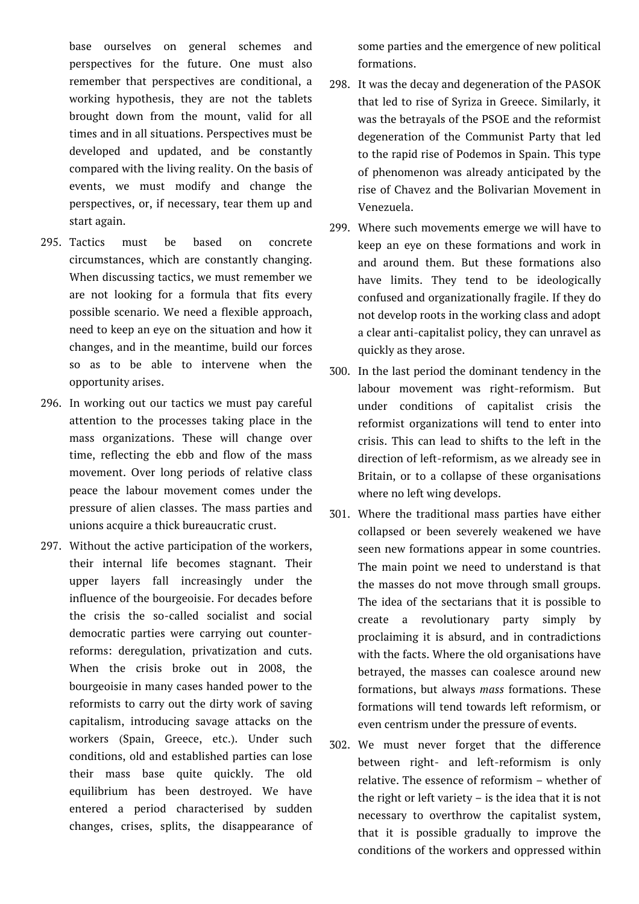base ourselves on general schemes and perspectives for the future. One must also remember that perspectives are conditional, a working hypothesis, they are not the tablets brought down from the mount, valid for all times and in all situations. Perspectives must be developed and updated, and be constantly compared with the living reality. On the basis of events, we must modify and change the perspectives, or, if necessary, tear them up and start again.

- 295. Tactics must be based on concrete circumstances, which are constantly changing. When discussing tactics, we must remember we are not looking for a formula that fits every possible scenario. We need a flexible approach, need to keep an eye on the situation and how it changes, and in the meantime, build our forces so as to be able to intervene when the opportunity arises.
- 296. In working out our tactics we must pay careful attention to the processes taking place in the mass organizations. These will change over time, reflecting the ebb and flow of the mass movement. Over long periods of relative class peace the labour movement comes under the pressure of alien classes. The mass parties and unions acquire a thick bureaucratic crust.
- 297. Without the active participation of the workers, their internal life becomes stagnant. Their upper layers fall increasingly under the influence of the bourgeoisie. For decades before the crisis the so-called socialist and social democratic parties were carrying out counterreforms: deregulation, privatization and cuts. When the crisis broke out in 2008, the bourgeoisie in many cases handed power to the reformists to carry out the dirty work of saving capitalism, introducing savage attacks on the workers (Spain, Greece, etc.). Under such conditions, old and established parties can lose their mass base quite quickly. The old equilibrium has been destroyed. We have entered a period characterised by sudden changes, crises, splits, the disappearance of

some parties and the emergence of new political formations.

- 298. It was the decay and degeneration of the PASOK that led to rise of Syriza in Greece. Similarly, it was the betrayals of the PSOE and the reformist degeneration of the Communist Party that led to the rapid rise of Podemos in Spain. This type of phenomenon was already anticipated by the rise of Chavez and the Bolivarian Movement in Venezuela.
- 299. Where such movements emerge we will have to keep an eye on these formations and work in and around them. But these formations also have limits. They tend to be ideologically confused and organizationally fragile. If they do not develop roots in the working class and adopt a clear anti-capitalist policy, they can unravel as quickly as they arose.
- 300. In the last period the dominant tendency in the labour movement was right-reformism. But under conditions of capitalist crisis the reformist organizations will tend to enter into crisis. This can lead to shifts to the left in the direction of left-reformism, as we already see in Britain, or to a collapse of these organisations where no left wing develops.
- 301. Where the traditional mass parties have either collapsed or been severely weakened we have seen new formations appear in some countries. The main point we need to understand is that the masses do not move through small groups. The idea of the sectarians that it is possible to create a revolutionary party simply by proclaiming it is absurd, and in contradictions with the facts. Where the old organisations have betrayed, the masses can coalesce around new formations, but always *mass* formations. These formations will tend towards left reformism, or even centrism under the pressure of events.
- 302. We must never forget that the difference between right- and left-reformism is only relative. The essence of reformism – whether of the right or left variety – is the idea that it is not necessary to overthrow the capitalist system, that it is possible gradually to improve the conditions of the workers and oppressed within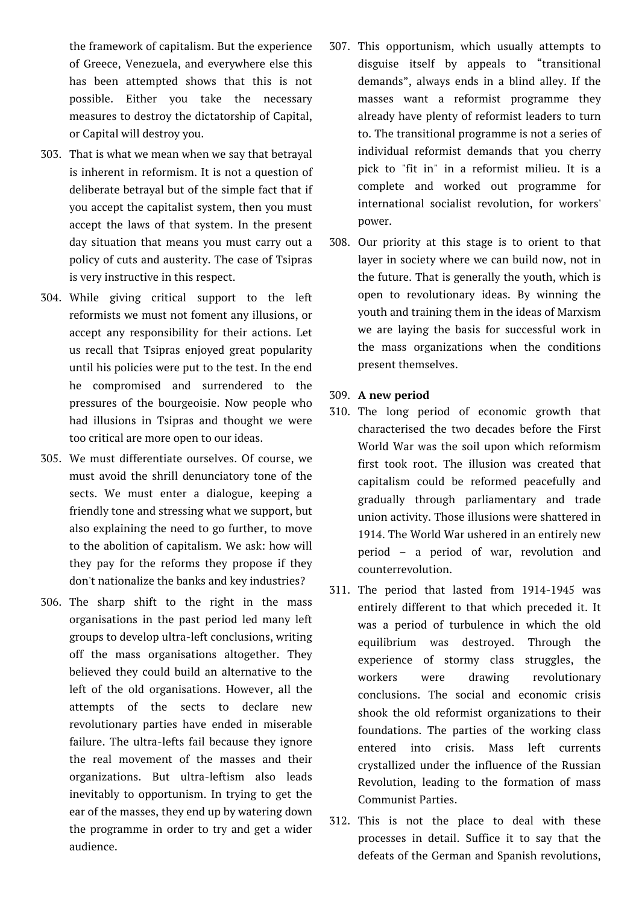the framework of capitalism. But the experience of Greece, Venezuela, and everywhere else this has been attempted shows that this is not possible. Either you take the necessary measures to destroy the dictatorship of Capital, or Capital will destroy you.

- 303. That is what we mean when we say that betrayal is inherent in reformism. It is not a question of deliberate betrayal but of the simple fact that if you accept the capitalist system, then you must accept the laws of that system. In the present day situation that means you must carry out a policy of cuts and austerity. The case of Tsipras is very instructive in this respect.
- 304. While giving critical support to the left reformists we must not foment any illusions, or accept any responsibility for their actions. Let us recall that Tsipras enjoyed great popularity until his policies were put to the test. In the end he compromised and surrendered to the pressures of the bourgeoisie. Now people who had illusions in Tsipras and thought we were too critical are more open to our ideas.
- 305. We must differentiate ourselves. Of course, we must avoid the shrill denunciatory tone of the sects. We must enter a dialogue, keeping a friendly tone and stressing what we support, but also explaining the need to go further, to move to the abolition of capitalism. We ask: how will they pay for the reforms they propose if they don't nationalize the banks and key industries?
- 306. The sharp shift to the right in the mass organisations in the past period led many left groups to develop ultra-left conclusions, writing off the mass organisations altogether. They believed they could build an alternative to the left of the old organisations. However, all the attempts of the sects to declare new revolutionary parties have ended in miserable failure. The ultra-lefts fail because they ignore the real movement of the masses and their organizations. But ultra-leftism also leads inevitably to opportunism. In trying to get the ear of the masses, they end up by watering down the programme in order to try and get a wider audience.
- 307. This opportunism, which usually attempts to disguise itself by appeals to "transitional demands", always ends in a blind alley. If the masses want a reformist programme they already have plenty of reformist leaders to turn to. The transitional programme is not a series of individual reformist demands that you cherry pick to "fit in" in a reformist milieu. It is a complete and worked out programme for international socialist revolution, for workers' power.
- 308. Our priority at this stage is to orient to that layer in society where we can build now, not in the future. That is generally the youth, which is open to revolutionary ideas. By winning the youth and training them in the ideas of Marxism we are laying the basis for successful work in the mass organizations when the conditions present themselves.
- 309. **A new period**
- 310. The long period of economic growth that characterised the two decades before the First World War was the soil upon which reformism first took root. The illusion was created that capitalism could be reformed peacefully and gradually through parliamentary and trade union activity. Those illusions were shattered in 1914. The World War ushered in an entirely new period – a period of war, revolution and counterrevolution.
- 311. The period that lasted from 1914-1945 was entirely different to that which preceded it. It was a period of turbulence in which the old equilibrium was destroyed. Through the experience of stormy class struggles, the workers were drawing revolutionary conclusions. The social and economic crisis shook the old reformist organizations to their foundations. The parties of the working class entered into crisis. Mass left currents crystallized under the influence of the Russian Revolution, leading to the formation of mass Communist Parties.
- 312. This is not the place to deal with these processes in detail. Suffice it to say that the defeats of the German and Spanish revolutions,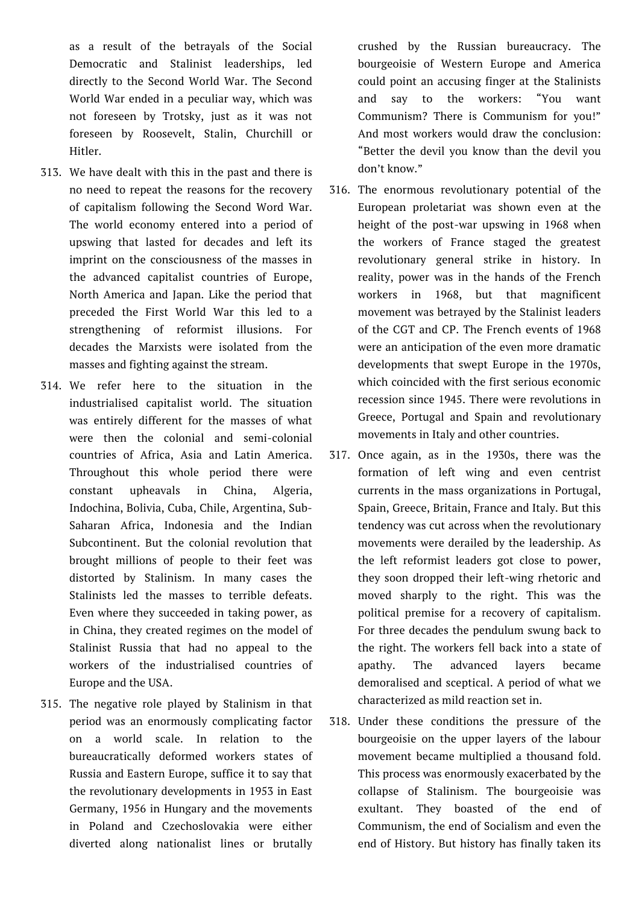as a result of the betrayals of the Social Democratic and Stalinist leaderships, led directly to the Second World War. The Second World War ended in a peculiar way, which was not foreseen by Trotsky, just as it was not foreseen by Roosevelt, Stalin, Churchill or Hitler.

- 313. We have dealt with this in the past and there is no need to repeat the reasons for the recovery of capitalism following the Second Word War. The world economy entered into a period of upswing that lasted for decades and left its imprint on the consciousness of the masses in the advanced capitalist countries of Europe, North America and Japan. Like the period that preceded the First World War this led to a strengthening of reformist illusions. For decades the Marxists were isolated from the masses and fighting against the stream.
- 314. We refer here to the situation in the industrialised capitalist world. The situation was entirely different for the masses of what were then the colonial and semi-colonial countries of Africa, Asia and Latin America. Throughout this whole period there were constant upheavals in China, Algeria, Indochina, Bolivia, Cuba, Chile, Argentina, Sub-Saharan Africa, Indonesia and the Indian Subcontinent. But the colonial revolution that brought millions of people to their feet was distorted by Stalinism. In many cases the Stalinists led the masses to terrible defeats. Even where they succeeded in taking power, as in China, they created regimes on the model of Stalinist Russia that had no appeal to the workers of the industrialised countries of Europe and the USA.
- 315. The negative role played by Stalinism in that period was an enormously complicating factor on a world scale. In relation to the bureaucratically deformed workers states of Russia and Eastern Europe, suffice it to say that the revolutionary developments in 1953 in East Germany, 1956 in Hungary and the movements in Poland and Czechoslovakia were either diverted along nationalist lines or brutally

crushed by the Russian bureaucracy. The bourgeoisie of Western Europe and America could point an accusing finger at the Stalinists and say to the workers: "You want Communism? There is Communism for you!" And most workers would draw the conclusion: "Better the devil you know than the devil you don't know."

- 316. The enormous revolutionary potential of the European proletariat was shown even at the height of the post-war upswing in 1968 when the workers of France staged the greatest revolutionary general strike in history. In reality, power was in the hands of the French workers in 1968, but that magnificent movement was betrayed by the Stalinist leaders of the CGT and CP. The French events of 1968 were an anticipation of the even more dramatic developments that swept Europe in the 1970s, which coincided with the first serious economic recession since 1945. There were revolutions in Greece, Portugal and Spain and revolutionary movements in Italy and other countries.
- 317. Once again, as in the 1930s, there was the formation of left wing and even centrist currents in the mass organizations in Portugal, Spain, Greece, Britain, France and Italy. But this tendency was cut across when the revolutionary movements were derailed by the leadership. As the left reformist leaders got close to power, they soon dropped their left-wing rhetoric and moved sharply to the right. This was the political premise for a recovery of capitalism. For three decades the pendulum swung back to the right. The workers fell back into a state of apathy. The advanced layers became demoralised and sceptical. A period of what we characterized as mild reaction set in.
- 318. Under these conditions the pressure of the bourgeoisie on the upper layers of the labour movement became multiplied a thousand fold. This process was enormously exacerbated by the collapse of Stalinism. The bourgeoisie was exultant. They boasted of the end of Communism, the end of Socialism and even the end of History. But history has finally taken its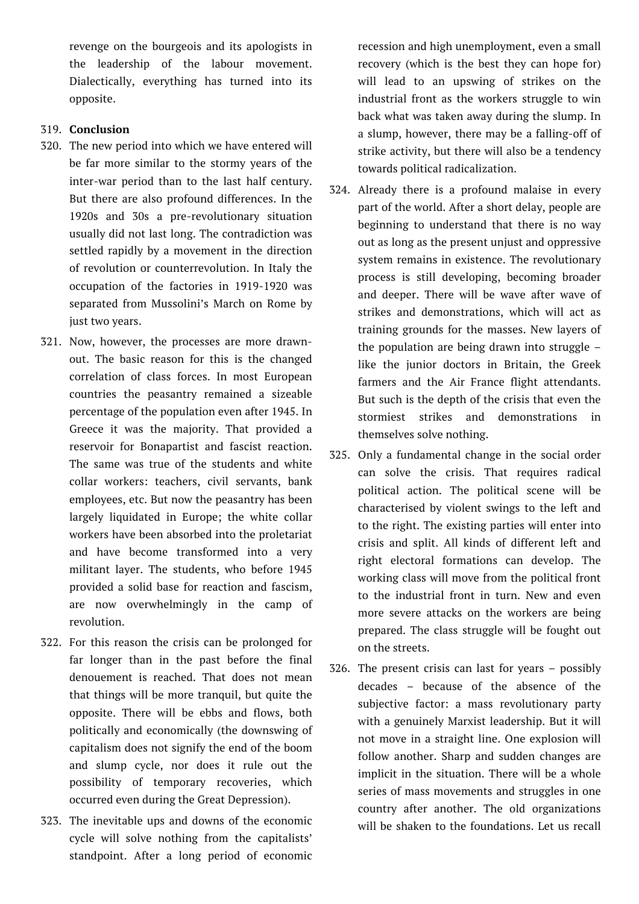revenge on the bourgeois and its apologists in the leadership of the labour movement. Dialectically, everything has turned into its opposite.

## 319. **Conclusion**

- 320. The new period into which we have entered will be far more similar to the stormy years of the inter-war period than to the last half century. But there are also profound differences. In the 1920s and 30s a pre-revolutionary situation usually did not last long. The contradiction was settled rapidly by a movement in the direction of revolution or counterrevolution. In Italy the occupation of the factories in 1919-1920 was separated from Mussolini's March on Rome by just two years.
- 321. Now, however, the processes are more drawnout. The basic reason for this is the changed correlation of class forces. In most European countries the peasantry remained a sizeable percentage of the population even after 1945. In Greece it was the majority. That provided a reservoir for Bonapartist and fascist reaction. The same was true of the students and white collar workers: teachers, civil servants, bank employees, etc. But now the peasantry has been largely liquidated in Europe; the white collar workers have been absorbed into the proletariat and have become transformed into a very militant layer. The students, who before 1945 provided a solid base for reaction and fascism, are now overwhelmingly in the camp of revolution.
- 322. For this reason the crisis can be prolonged for far longer than in the past before the final denouement is reached. That does not mean that things will be more tranquil, but quite the opposite. There will be ebbs and flows, both politically and economically (the downswing of capitalism does not signify the end of the boom and slump cycle, nor does it rule out the possibility of temporary recoveries, which occurred even during the Great Depression).
- 323. The inevitable ups and downs of the economic cycle will solve nothing from the capitalists' standpoint. After a long period of economic

recession and high unemployment, even a small recovery (which is the best they can hope for) will lead to an upswing of strikes on the industrial front as the workers struggle to win back what was taken away during the slump. In a slump, however, there may be a falling-off of strike activity, but there will also be a tendency towards political radicalization.

- 324. Already there is a profound malaise in every part of the world. After a short delay, people are beginning to understand that there is no way out as long as the present unjust and oppressive system remains in existence. The revolutionary process is still developing, becoming broader and deeper. There will be wave after wave of strikes and demonstrations, which will act as training grounds for the masses. New layers of the population are being drawn into struggle – like the junior doctors in Britain, the Greek farmers and the Air France flight attendants. But such is the depth of the crisis that even the stormiest strikes and demonstrations in themselves solve nothing.
- 325. Only a fundamental change in the social order can solve the crisis. That requires radical political action. The political scene will be characterised by violent swings to the left and to the right. The existing parties will enter into crisis and split. All kinds of different left and right electoral formations can develop. The working class will move from the political front to the industrial front in turn. New and even more severe attacks on the workers are being prepared. The class struggle will be fought out on the streets.
- 326. The present crisis can last for years possibly decades – because of the absence of the subjective factor: a mass revolutionary party with a genuinely Marxist leadership. But it will not move in a straight line. One explosion will follow another. Sharp and sudden changes are implicit in the situation. There will be a whole series of mass movements and struggles in one country after another. The old organizations will be shaken to the foundations. Let us recall